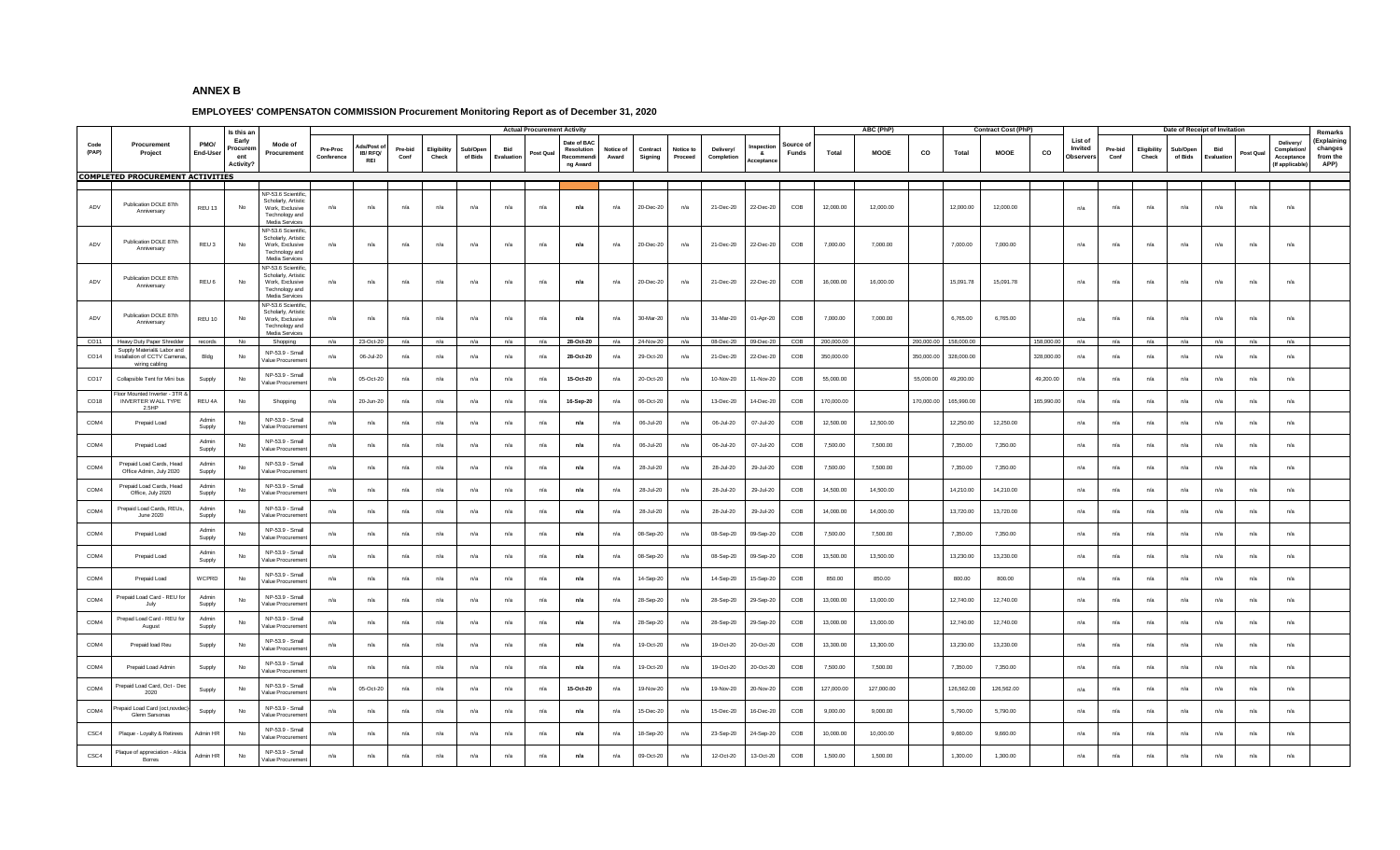## **ANNEX B**

## **EMPLOYEES' COMPENSATON COMMISSION Procurement Monitoring Report as of December 31, 2020**

|                  |                                                                             |                  |                                                            |                                                                                                  |                        |                                  |                 |                     |                     |                | <b>Actual Procurement Activity</b> |                                                 |                    |                     |                      |                         |                             |                          |            | ABC (PhP)   |            |            | <b>Contract Cost (PhP)</b> |            |                                       |                 |                      |                     | Date of Receipt of Invitation |          |                                                        |                                                       |
|------------------|-----------------------------------------------------------------------------|------------------|------------------------------------------------------------|--------------------------------------------------------------------------------------------------|------------------------|----------------------------------|-----------------|---------------------|---------------------|----------------|------------------------------------|-------------------------------------------------|--------------------|---------------------|----------------------|-------------------------|-----------------------------|--------------------------|------------|-------------|------------|------------|----------------------------|------------|---------------------------------------|-----------------|----------------------|---------------------|-------------------------------|----------|--------------------------------------------------------|-------------------------------------------------------|
| Code<br>(PAP)    | Procurement<br>Project<br><b>COMPLETED PROCUREMENT ACTIVITIES</b>           | PMO/<br>End-User | Is this an<br>Early<br>Procuren<br>ent<br><b>Activity?</b> | Mode of<br>Procurement                                                                           | Pre-Proc<br>Conference | ds/Post<br>IB/RFQ/<br><b>REI</b> | Pre-bid<br>Conf | Eligibilit<br>Check | Sub/Oper<br>of Bids | Bid<br>Evaluat | Post Qual                          | Date of BA<br>Resolution<br>Recomme<br>ng Award | Notice of<br>Award | Contract<br>Signing | Notice to<br>Proceed | Delivery/<br>Completion | nspectio<br>- 8.<br>cceptan | ource of<br><b>Funds</b> | Total      | <b>MOOE</b> | CO         | Total      | MOOE                       | co         | List of<br>Invited<br><b>Observer</b> | Pre-bid<br>Conf | Eligibility<br>Check | Sub/Oper<br>of Bids | Bid<br>Evaluatio              | Post Qua | Delivery/<br>Completio<br>Acceptance<br>(If applicable | Remarks<br>(Explaining<br>changes<br>from the<br>APP) |
|                  |                                                                             |                  |                                                            |                                                                                                  |                        |                                  |                 |                     |                     |                |                                    |                                                 |                    |                     |                      |                         |                             |                          |            |             |            |            |                            |            |                                       |                 |                      |                     |                               |          |                                                        |                                                       |
| ADV              | Publication DOLE 87th<br>Anniversary                                        | REU 13           | No                                                         | IP-53.6 Scientific<br>Scholarly, Artistic<br>Work, Exclusive<br>Technology and<br>Media Services | n/a                    | n/a                              | n/a             | n/a                 | n/a                 | n/a            | n/a                                | n/a                                             | n/a                | 20-Dec-20           | n/a                  | 21-Dec-20               | 22-Dec-20                   | COB                      | 12,000.00  | 12,000.00   |            | 12.000.00  | 12,000.00                  |            | n/a                                   | n/a             | n/a                  | n/a                 | n/a                           | n/a      | n/a                                                    |                                                       |
| ADV              | Publication DOLE 87th<br>Anniversary                                        | REU <sub>3</sub> | No                                                         | VP-53.6 Scientific<br>Scholarly, Artistic<br>Work, Exclusive<br>Technology and<br>Media Services | n/a                    | n/a                              | n/a             | n/a                 | n/a                 | n/a            | n/a                                | n/a                                             | n/a                | 20-Dec-20           | n/a                  | 21-Dec-20               | 22-Dec-20                   | COB                      | 7,000.00   | 7.000.00    |            | 7.000.00   | 7,000.00                   |            | n/a                                   | n/a             | n/a                  | n/a                 | n/a                           | n/a      | n/a                                                    |                                                       |
| ADV              | Publication DOLE 87th<br>Anniversary                                        | REU 6            | No                                                         | VP-53.6 Scientific<br>Scholarly, Artistic<br>Work, Exclusive<br>Technology and<br>Media Services | n/a                    | n/a                              | n/a             | n/a                 | n/a                 | n/a            | n/a                                | n/a                                             | n/a                | 20-Dec-20           | n/a                  | 21-Dec-20               | 22-Dec-20                   | COB                      | 16,000.00  | 16,000.00   |            | 15,091.78  | 15,091.78                  |            | n/a                                   | n/a             | n/a                  | n/a                 | n/a                           | n/a      | $n/a$                                                  |                                                       |
| ADV              | Publication DOLE 87th<br>Anniversary                                        | REU 10           | No                                                         | JP-53.6 Scientific<br>Scholarly, Artistic<br>Work, Exclusive<br>Technology and<br>Media Services | n/a                    | n/a                              | n/a             | n/a                 | n/a                 | n/a            | n/a                                | n/a                                             | n/a                | 30-Mar-20           | n/a                  | 31-Mar-20               | 01-Apr-20                   | COB                      | 7,000.00   | 7,000.00    |            | 6,765.00   | 6,765.00                   |            | n/a                                   | n/a             | n/a                  | n/a                 | n/a                           | n/a      | n/a                                                    |                                                       |
| CO11             | Heavy Duty Paper Shredder                                                   | records          | No                                                         | Shopping                                                                                         | n/a                    | 23-Oct-20                        | n/a             | n/a                 | n/a                 | n/a            | n/a                                | 28-Oct-20                                       | n/a                | 24-Nov-20           | n/a                  | 08-Dec-20               | 09-Dec-20                   | COB                      | 200,000.00 |             | 200,000.00 | 158,000.00 |                            | 158,000.00 | n/a                                   | n/a             | n/a                  | n/a                 | n/a                           | n/a      | n/a                                                    |                                                       |
| CO14             | Supply Material& Labor and<br>nstallation of CCTV Cameras<br>wiring cabling | Bldg             | No                                                         | NP-53.9 - Small<br>/alue Procuremen                                                              | n/a                    | 06-Jul-20                        | n/a             | n/a                 | n/a                 | n/a            | n/a                                | 28-Oct-20                                       | n/a                | 29-Oct-20           | n/a                  | 21-Dec-20               | 22-Dec-20                   | COB                      | 350,000.00 |             | 350,000.00 | 328,000.00 |                            | 328,000.00 | n/a                                   | n/a             | n/a                  | n/a                 | n/a                           | n/a      | n/a                                                    |                                                       |
| CO <sub>17</sub> | Collapsible Tent for Mini bus                                               | Supply           | No                                                         | NP-53.9 - Small<br>/alue Procuremer                                                              | n/a                    | 05-Oct-20                        | n/a             | n/a                 | n/a                 | n/a            | n/a                                | 15-Oct-20                                       | n/a                | 20-Oct-20           | n/a                  | 10-Nov-20               | 11-Nov-20                   | COB                      | 55,000.00  |             | 55,000.00  | 49,200.00  |                            | 49,200.00  | n/a                                   | n/a             | n/a                  | n/a                 | n/a                           | n/a      | n/a                                                    |                                                       |
| CO18             | oor Mounted Inverter - 3TR 8<br><b>INVERTER WALL TYPE</b><br>2.5HP          | REU 4A           | No                                                         | Shopping                                                                                         | n/a                    | 20-Jun-20                        | n/a             | n/a                 | n/a                 | n/a            | n/a                                | 16-Sep-20                                       | n/a                | 06-Oct-20           | n/a                  | 13-Dec-20               | 14-Dec-20                   | COB                      | 170,000.00 |             | 170,000.00 | 165,990.00 |                            | 165,990.00 | n/a                                   | n/a             | n/a                  | n/a                 | n/a                           | n/a      | n/a                                                    |                                                       |
| COM4             | Prepaid Load                                                                | Admin<br>Supply  | No                                                         | NP-53.9 - Small<br>/alue Procuremer                                                              | n/a                    | n/a                              | n/a             | n/a                 | n/a                 | n/a            | n/a                                | n/a                                             | n/a                | 06-Jul-20           | n/a                  | 06-Jul-20               | 07-Jul-20                   | COB                      | 12,500.00  | 12,500.00   |            | 12,250.00  | 12,250.00                  |            | n/a                                   | n/a             | n/a                  | n/a                 | n/a                           | n/a      | n/a                                                    |                                                       |
| COM4             | Prepaid Load                                                                | Admin<br>Supply  | No                                                         | NP-53.9 - Small<br>/alue Procuremen                                                              | n/a                    | n/a                              | n/a             | n/a                 | n/a                 | n/a            | n/a                                | n/a                                             | n/a                | 06-Jul-20           | n/a                  | 06-Jul-20               | 07-Jul-20                   | COB                      | 7,500.00   | 7,500.00    |            | 7,350.00   | 7,350.00                   |            | n/a                                   | n/a             | n/a                  | n/a                 | n/a                           | n/a      | n/a                                                    |                                                       |
| COM <sub>4</sub> | Prepaid Load Cards, Head<br>Office Admin, July 2020                         | Admin<br>Supply  | No                                                         | NP-53.9 - Small<br>alue Procuremen                                                               | n/a                    | n/a                              | n/a             | n/a                 | n/a                 | n/a            | n/a                                | n/a                                             | n/a                | 28-Jul-20           | n/a                  | 28-Jul-20               | 29-Jul-20                   | COB                      | 7,500.00   | 7,500.00    |            | 7,350.00   | 7,350.00                   |            | n/a                                   | n/a             | n/a                  | n/a                 | n/a                           | n/a      | n/a                                                    |                                                       |
| COM4             | Prepaid Load Cards, Head<br>Office, July 2020                               | Admin<br>Supply  | No                                                         | NP-53.9 - Small<br>/alue Procuremen                                                              | n/a                    | n/a                              | n/a             | n/a                 | n/a                 | n/a            | n/a                                | n/a                                             | n/a                | 28-Jul-20           | n/a                  | 28-Jul-20               | 29-Jul-20                   | COB                      | 14,500.00  | 14,500.00   |            | 14,210.00  | 14,210.00                  |            | n/a                                   | n/a             | n/a                  | n/a                 | n/a                           | n/a      | n/a                                                    |                                                       |
| COM4             | Prepaid Load Cards, REUs<br>June 2020                                       | Admin<br>Supply  | No                                                         | NP-53.9 - Small<br>/alue Procuremen                                                              | n/a                    | n/a                              | n/a             | n/a                 | n/a                 | n/a            | n/a                                | n/a                                             | n/a                | 28-Jul-20           | n/a                  | 28-Jul-20               | 29-Jul-20                   | COB                      | 14,000.00  | 14,000.00   |            | 13,720.00  | 13,720.00                  |            | n/a                                   | n/a             | n/a                  | n/a                 | n/a                           | n/a      | n/a                                                    |                                                       |
| COM4             | Prepaid Load                                                                | Admin<br>Supply  | No                                                         | NP-53.9 - Small<br>/alue Procuremen                                                              | n/a                    | n/a                              | n/a             | n/a                 | n/a                 | n/a            | n/a                                | n/a                                             | n/a                | 08-Sep-20           | n/a                  | 08-Sep-20               | 09-Sep-20                   | COB                      | 7,500.00   | 7.500.00    |            | 7.350.00   | 7,350.00                   |            | n/a                                   | n/a             | n/a                  | n/a                 | n/a                           | n/a      | n/a                                                    |                                                       |
| COM <sub>4</sub> | Prepaid Load                                                                | Admin<br>Supply  | No                                                         | NP-53.9 - Small<br>/alue Procuremen                                                              | n/a                    | n/a                              | n/a             | n/a                 | n/a                 | n/a            | n/a                                | n/a                                             | n/a                | 08-Sep-20           | n/a                  | 08-Sep-20               | 09-Sep-20                   | COB                      | 13,500.00  | 13,500.00   |            | 13,230.00  | 13,230.00                  |            | n/a                                   | n/a             | n/a                  | n/a                 | n/a                           | n/a      | n/a                                                    |                                                       |
| COM4             | Prepaid Load                                                                | WCPRD            | No                                                         | NP-53.9 - Small<br>/alue Procuremer                                                              | n/a                    | n/a                              | n/a             | n/a                 | n/a                 | $n/a$          | n/a                                | n/a                                             | n/a                | 14-Sep-20           | n/a                  | 14-Sep-20               | 15-Sep-20                   | COB                      | 850.00     | 850.00      |            | 800.00     | 800.00                     |            | n/a                                   | n/a             | n/a                  | n/a                 | n/a                           | n/a      | n/a                                                    |                                                       |
| COM4             | Prepaid Load Card - REU for<br>July                                         | Admin<br>Supply  | No                                                         | NP-53.9 - Small<br>/alue Procuremer                                                              | n/a                    | n/a                              | n/a             | n/a                 | n/a                 | n/a            | n/a                                | n/a                                             | n/a                | 28-Sep-20           | n/a                  | 28-Sep-20               | 29-Sep-20                   | COB                      | 13,000.00  | 13,000.00   |            | 12,740.00  | 12,740.00                  |            | n/a                                   | n/a             | n/a                  | n/a                 | n/a                           | n/a      | n/a                                                    |                                                       |
| COM4             | Prepad Load Card - REU fo<br>August                                         | Admin<br>Supply  | No                                                         | NP-53.9 - Small<br>alue Procuremen                                                               | n/a                    | n/a                              | n/a             | n/a                 | n/a                 | n/a            | n/a                                | n/a                                             | n/a                | 28-Sep-20           | n/a                  | 28-Sep-20               | 29-Sep-20                   | COB                      | 13,000.00  | 13,000.00   |            | 12.740.00  | 12.740.00                  |            | n/a                                   | n/a             | n/a                  | n/a                 | n/a                           | n/a      | n/a                                                    |                                                       |
| COM4             | Prepaid load Reu                                                            | Supply           | No                                                         | NP-53.9 - Small<br>/alue Procuremen                                                              | n/a                    | n/a                              | n/a             | n/a                 | n/a                 | n/a            | n/a                                | n/a                                             | n/a                | 19-Oct-20           | n/a                  | 19-Oct-20               | 20-Oct-20                   | COB                      | 13,300.00  | 13,300.00   |            | 13,230.00  | 13,230.00                  |            | n/a                                   | n/a             | n/a                  | n/a                 | n/a                           | n/a      | n/a                                                    |                                                       |
| COM4             | Prepaid Load Admin                                                          | Supply           | No                                                         | NP-53.9 - Small<br>/alue Procuremen                                                              | n/a                    | n/a                              | n/a             | n/a                 | n/a                 | n/a            | n/a                                | n/a                                             | n/a                | 19-Oct-20           | n/a                  | 19-Oct-20               | 20-Oct-20                   | COB                      | 7,500.00   | 7,500.00    |            | 7,350.00   | 7,350.00                   |            | n/a                                   | n/a             | n/a                  | n/a                 | n/a                           | n/a      | n/a                                                    |                                                       |
| COM4             | repaid Load Card, Oct - De<br>2020                                          | Supply           | No                                                         | NP-53.9 - Small<br>alue Procuremen                                                               | n/a                    | 05-Oct-20                        | n/a             | n/a                 | n/a                 | n/a            | n/a                                | 15-Oct-20                                       | n/a                | 19-Nov-20           | n/a                  | 19-Nov-20               | 20-Nov-20                   | COB                      | 127,000.00 | 127,000.00  |            | 126,562.00 | 126,562.00                 |            | n/a                                   | n/a             | n/a                  | n/a                 | n/a                           | n/a      | n/a                                                    |                                                       |
| COM4             | paid Load Card (oct, novde<br>Glenn Sarsonas                                | Supply           | No                                                         | NP-53.9 - Small<br>/alue Procuremen                                                              | n/a                    | n/a                              | n/a             | n/a                 | n/a                 | n/a            | n/a                                | n/a                                             | n/a                | 15-Dec-20           | n/a                  | 15-Dec-20               | 16-Dec-20                   | COB                      | 9,000.00   | 9,000.00    |            | 5,790.00   | 5,790.00                   |            | n/a                                   | n/a             | n/a                  | n/a                 | n/a                           | n/a      | n/a                                                    |                                                       |
| CSC4             | Plaque - Loyalty & Retiree                                                  | Admin HR         | No                                                         | NP-53.9 - Small<br>/alue Procuremer                                                              | n/a                    | n/a                              | n/a             | n/a                 | n/a                 | n/a            | n/a                                | n/a                                             | n/a                | 18-Sep-20           | n/a                  | 23-Sep-20               | 24-Sep-20                   | COB                      | 10,000.00  | 10,000.00   |            | 9,660.00   | 9,660.00                   |            | n/a                                   | n/a             | n/a                  | n/a                 | n/a                           | n/a      | n/a                                                    |                                                       |
| CSC4             | Plaque of appreciation - Alicia<br>Borres                                   | Admin HR         | No                                                         | NP-53.9 - Small<br>/alue Procuremen                                                              | n/a                    | n/a                              | n/a             | n/a                 | n/a                 | n/a            | n/a                                | n/a                                             | n/a                | 09-Oct-20           | n/a                  | 12-Oct-20               | 13-Oct-20                   | COB                      | 1,500.00   | 1,500.00    |            | 1,300.00   | 1,300.00                   |            | n/a                                   | n/a             | n/a                  | n/a                 | n/a                           | n/a      | n/a                                                    |                                                       |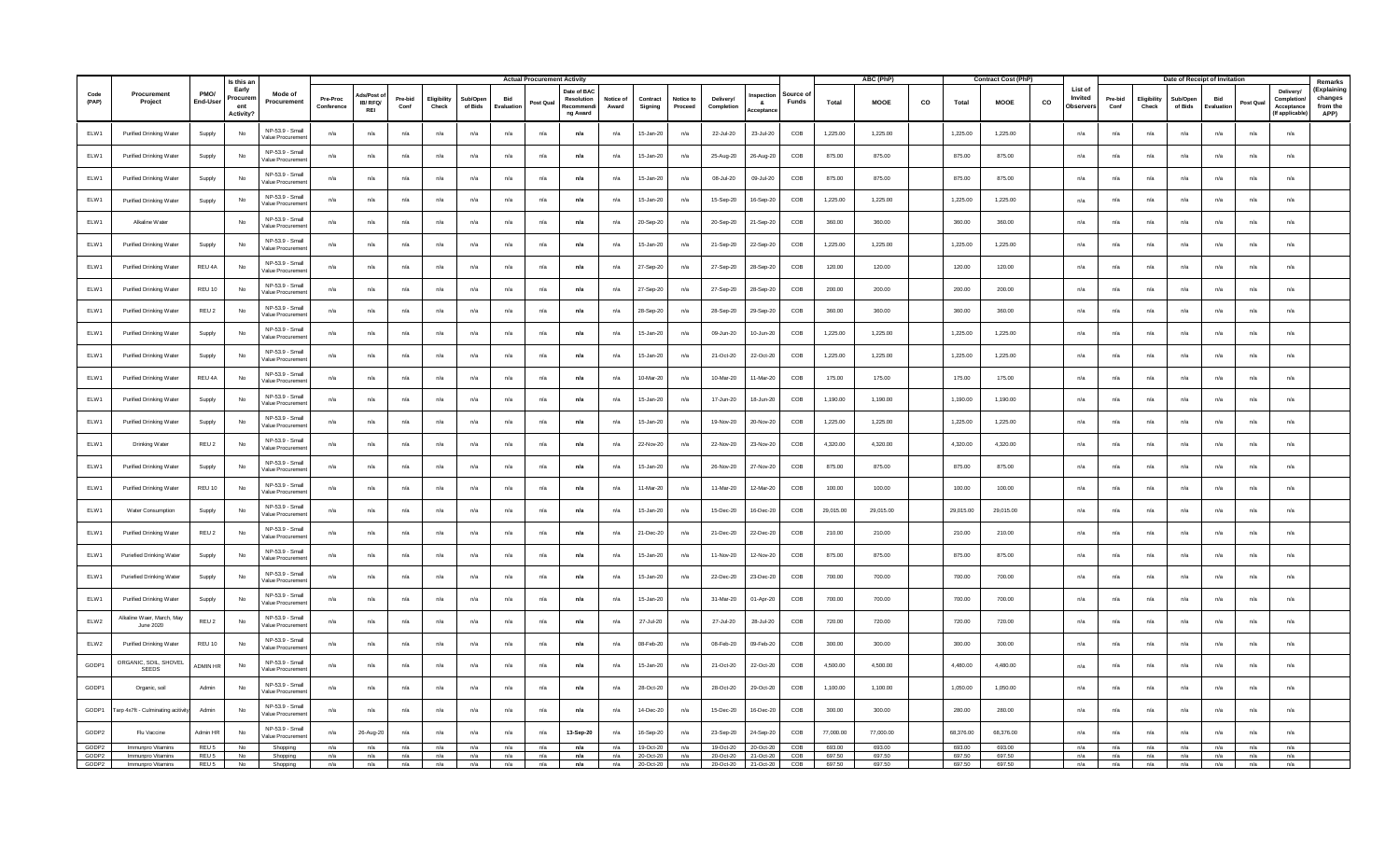|               |                                        |                  | Is this an                                  |                                     |                        |                       |                 |                      |                     |                  | <b>Actual Procurement Activity</b> |                                                   |                    |                     |                      |                         |               |                          |           | ABC (PhP)   |    |           | <b>Contract Cost (PhP)</b> |    |                                 |                 |                      |                     | Date of Receipt of Invitation |          |                                                              | Remarks                                    |
|---------------|----------------------------------------|------------------|---------------------------------------------|-------------------------------------|------------------------|-----------------------|-----------------|----------------------|---------------------|------------------|------------------------------------|---------------------------------------------------|--------------------|---------------------|----------------------|-------------------------|---------------|--------------------------|-----------|-------------|----|-----------|----------------------------|----|---------------------------------|-----------------|----------------------|---------------------|-------------------------------|----------|--------------------------------------------------------------|--------------------------------------------|
| Code<br>(PAP) | Procurement<br>Project                 | PMO/<br>End-Use  | Early<br>Procuren<br>ent<br><b>Activity</b> | Mode of<br>Procurement              | Pre-Proc<br>Conference | <b>IB/RFQ/</b><br>REI | Pre-bid<br>Conf | Eligibility<br>Check | Sub/Oper<br>of Bids | Bid<br>Evaluatio | Post Qua                           | Date of BAC<br>Resolution<br>Recommen<br>ng Award | Notice of<br>Award | Contract<br>Signing | Notice to<br>Proceed | Delivery/<br>Completion | -8<br>cceptar | Source c<br><b>Funds</b> | Total     | <b>MOOE</b> | co | Total     | <b>MOOE</b>                | co | List of<br>Invited<br>Observers | Pre-bid<br>Conf | Eligibility<br>Check | Sub/Oner<br>of Bids | Bid<br>Evaluatio              | Post Qua | <b>Delivery</b><br>Completio<br>Acceptance<br>(If applicable | (Explaining<br>changes<br>from the<br>APP) |
| ELW1          | Purified Drinking Water                | Supply           | No                                          | NP-53.9 - Small<br>Value Procureme  | n/a                    | n/a                   | n/a             | n/a                  | n/a                 | n/a              | n/a                                | n/a                                               | n/a                | $15 - Jan-20$       | n/a                  | 22-Jul-20               | 23-Jul-20     | COB                      | 1,225.00  | 1,225.00    |    | 1,225.00  | 1,225.00                   |    | n/a                             | n/a             | n/a                  | n/a                 | n/a                           | n/a      | n/a                                                          |                                            |
| ELW1          | Purified Drinking Water                | Supply           | No                                          | NP-53.9 - Small<br>Value Procureme  | n/a                    | $n/a$                 | n/a             | n/a                  | n/a                 | n/a              | n/a                                | n/a                                               | n/a                | 15-Jan-20           | n/a                  | 25-Aug-20               | 26-Aug-20     | COB                      | 875.00    | 875.00      |    | 875.00    | 875.00                     |    | n/a                             | n/a             | n/a                  | n/a                 | n/a                           | n/a      | n/a                                                          |                                            |
| ELW1          | Purified Drinking Water                | Supply           | No                                          | NP-53.9 - Small<br>Value Procureme  | n/a                    | n/a                   | n/a             | n/a                  | n/a                 | n/a              | n/a                                | n/a                                               | n/a                | 15-Jan-20           | n/a                  | 08-Jul-20               | 09-Jul-20     | COB                      | 875.00    | 875.00      |    | 875.00    | 875.00                     |    | n/a                             | n/a             | n/a                  | n/a                 | n/a                           | n/a      | n/a                                                          |                                            |
| ELW1          | Purified Drinking Water                | Supply           | No                                          | NP-53.9 - Smal<br>Value Procureme   | n/a                    | n/a                   | n/a             | n/a                  | n/a                 | n/a              | n/a                                | n/a                                               | n/a                | 15-Jan-20           | n/a                  | 15-Sep-20               | 16-Sep-20     | COB                      | 1,225.00  | 1,225.00    |    | 1,225.00  | 1,225.00                   |    | n/a                             | n/a             | n/a                  | n/a                 | n/a                           | n/a      | n/a                                                          |                                            |
| ELW1          | Alkaline Water                         |                  | No                                          | NP-53.9 - Small<br>Value Procureme  | n/a                    | n/a                   | n/a             | n/a                  | n/a                 | n/a              | n/a                                | n/a                                               | n/a                | 20-Sep-20           | n/a                  | 20-Sep-20               | 21-Sep-20     | COB                      | 360.00    | 360.00      |    | 360.00    | 360.00                     |    | n/a                             | n/a             | n/a                  | n/a                 | n/a                           | n/a      | n/a                                                          |                                            |
| ELW1          | Purified Drinking Water                | Supply           | No                                          | NP-53.9 - Small<br>Value Procureme  | n/a                    | n/a                   | n/a             | n/a                  | n/a                 | n/a              | n/a                                | n/a                                               | n/a                | 15-Jan-20           | n/a                  | 21-Sep-20               | 22-Sep-20     | COB                      | 1,225.00  | 1,225.00    |    | 1,225.00  | 1,225.00                   |    | n/a                             | n/a             | n/a                  | n/a                 | n/a                           | n/a      | n/a                                                          |                                            |
| ELW1          | Purified Drinking Water                | REU 4A           | No                                          | NP-53.9 - Small<br>Value Procuremer | n/a                    | n/a                   | n/a             | n/a                  | n/a                 | n/a              | n/a                                | n/a                                               | n/a                | 27-Sep-20           | n/a                  | 27-Sep-20               | 28-Sep-20     | COB                      | 120.00    | 120.00      |    | 120.00    | 120.00                     |    | n/a                             | n/a             | n/a                  | n/a                 | n/a                           | n/a      | n/a                                                          |                                            |
| ELW1          | Purified Drinking Water                | REU 10           | No                                          | NP-53.9 - Small<br>Value Procureme  | n/a                    | n/a                   | n/a             | n/a                  | n/a                 | n/a              | n/a                                | n/a                                               | n/a                | 27-Sep-20           | n/a                  | 27-Sep-20               | 28-Sep-20     | COB                      | 200.00    | 200.00      |    | 200.00    | 200.00                     |    | n/a                             | n/a             | n/a                  | n/a                 | n/a                           | n/a      | n/a                                                          |                                            |
| ELW1          | Purified Drinking Water                | REU 2            | No                                          | NP-53.9 - Small<br>Value Procureme  | n/a                    | n/a                   | n/a             | n/a                  | n/a                 | n/a              | n/a                                | n/a                                               | n/a                | 28-Sep-20           | n/a                  | 28-Sep-20               | 29-Sep-20     | COB                      | 360.00    | 360.00      |    | 360.00    | 360.00                     |    | n/a                             | n/a             | n/a                  | n/a                 | n/a                           | n/a      | n/a                                                          |                                            |
| ELW1          | Purified Drinking Water                | Supply           | No                                          | NP-53.9 - Small<br>Value Procureme  | n/a                    | n/a                   | n/a             | $n/a$                | n/a                 | n/a              | n/a                                | n/a                                               | n/a                | 15-Jan-20           | n/a                  | 09-Jun-20               | 10-Jun-20     | COB                      | 1,225.00  | 1,225.00    |    | 1,225.00  | 1,225.00                   |    | n/a                             | n/a             | n/a                  | n/a                 | n/a                           | n/a      | n/a                                                          |                                            |
| ELW1          | Purified Drinking Water                | Supply           | No                                          | NP-53.9 - Small<br>Value Procuremer | n/a                    | n/a                   | n/a             | n/a                  | n/a                 | n/a              | n/a                                | n/a                                               | n/a                | 15-Jan-20           | n/a                  | 21-Oct-20               | 22-Oct-20     | COB                      | 1,225.00  | 1.225.00    |    | 1,225.00  | 1,225.00                   |    | n/a                             | n/a             | n/a                  | n/a                 | n/a                           | n/a      | n/a                                                          |                                            |
| ELW1          | Purified Drinking Water                | REU 4A           | $\mathsf{No}$                               | NP-53.9 - Small<br>Value Procuremer | n/a                    | $n/a$                 | n/a             | n/a                  | n/a                 | n/a              | n/a                                | n/a                                               | $n/a$              | 10-Mar-20           | n/a                  | 10-Mar-20               | 1-Mar-20      | COB                      | 175.00    | 175.00      |    | 175.00    | 175.00                     |    | n/a                             | n/a             | n/a                  | $n/a$               | n/a                           | $n/a$    | n/a                                                          |                                            |
| ELW1          | Purified Drinking Water                | Supply           | No                                          | NP-53.9 - Smal<br>Value Procureme   | n/a                    | n/a                   | n/a             | n/a                  | n/a                 | n/a              | n/a                                | n/a                                               | n/a                | 15-Jan-20           | n/a                  | 17-Jun-20               | 18-Jun-20     | COB                      | 1,190.00  | 1.190.00    |    | 1.190.00  | 1.190.00                   |    | n/a                             | n/a             | n/a                  | n/a                 | n/a                           | n/a      | n/a                                                          |                                            |
| ELW1          | Purified Drinking Water                | Supply           | <b>No</b>                                   | NP-53.9 - Small<br>Value Procureme  | n/a                    | n/a                   | n/a             | $n/a$                | n/a                 | n/a              | $n/a$                              | n/a                                               | n/a                | 15-Jan-20           | n/a                  | 19-Nov-20               | 20-Nov-20     | COB                      | 1,225.00  | 1,225.00    |    | 1,225.00  | 1,225.00                   |    | n/a                             | n/a             | $n/a$                | n/a                 | n/a                           | n/a      | $n/a$                                                        |                                            |
| ELW1          | Drinking Water                         | REU 2            | <b>No</b>                                   | NP-53.9 - Small<br>Value Procureme  | n/a                    | n/a                   | n/a             | n/a                  | n/a                 | n/a              | n/a                                | n/a                                               | n/a                | 22-Nov-20           | n/a                  | 22-Nov-20               | 23-Nov-20     | COB                      | 4,320.00  | 4.320.00    |    | 4.320.00  | 4.320.00                   |    | n/a                             | n/a             | n/a                  | n/a                 | n/a                           | n/a      | n/a                                                          |                                            |
| ELW1          | Purified Drinking Water                | Supply           | No                                          | NP-53.9 - Small<br>Value Procureme  | n/a                    | $n/a$                 | n/a             | n/a                  | $n/a$               | n/a              | $n/a$                              | n/a                                               | n/a                | 15-Jan-20           | n/a                  | 26-Nov-20               | 27-Nov-20     | $\mathsf{COB}$           | 875.00    | 875.00      |    | 875.00    | 875.00                     |    | n/a                             | n/a             | n/a                  | $n/a$               | $n/a$                         | n/a      | $n/a$                                                        |                                            |
| ELW1          | Purified Drinking Water                | REU 10           | No                                          | NP-53.9 - Smal<br>alue Procureme    | n/a                    | n/a                   | n/a             | n/a                  | n/a                 | n/a              | n/a                                | n/a                                               | n/a                | 11-Mar-20           | n/a                  | 11-Mar-20               | 12-Mar-20     | COB                      | 100.00    | 100.00      |    | 100.00    | 100.00                     |    | n/a                             | n/a             | n/a                  | n/a                 | n/a                           | n/a      | n/a                                                          |                                            |
| ELW1          | Water Consumption                      | Supply           | No                                          | NP-53.9 - Small<br>Value Procureme  | n/a                    | n/a                   | n/a             | n/a                  | n/a                 | n/a              | n/a                                | n/a                                               | n/a                | 15-Jan-20           | n/a                  | 15-Dec-20               | 16-Dec-20     | COB                      | 29,015.00 | 29,015.00   |    | 29,015.00 | 29,015.00                  |    | n/a                             | n/a             | n/a                  | n/a                 | n/a                           | n/a      | n/a                                                          |                                            |
| ELW1          | Purified Drinking Water                | REU 2            | <b>No</b>                                   | NP-53.9 - Small<br>Value Procureme  | n/a                    | n/a                   | n/a             | n/a                  | n/a                 | n/a              | n/a                                | n/a                                               | n/a                | 21-Dec-20           | n/a                  | 21-Dec-20               | 22-Dec-20     | COB                      | 210.00    | 210.00      |    | 210.00    | 210.00                     |    | n/a                             | n/a             | n/a                  | n/a                 | n/a                           | n/a      | n/a                                                          |                                            |
| ELW1          | Puriefied Drinking Water               | Supply           | No                                          | NP-53.9 - Smal<br>Value Procureme   | n/a                    | n/a                   | n/a             | n/a                  | $n/a$               | n/a              | $n/a$                              | n/a                                               | n/a                | 15-Jan-20           | n/a                  | 11-Nov-20               | 12-Nov-20     | $\mathsf{COB}$           | 875.00    | 875.00      |    | 875.00    | 875.00                     |    | n/a                             | n/a             | n/a                  | n/a                 | n/a                           | n/a      | $n/a$                                                        |                                            |
| ELW1          | Puriefied Drinking Water               | Supply           | No                                          | NP-53.9 - Small<br>Value Procuremer | n/a                    | n/a                   | n/a             | n/a                  | n/a                 | n/a              | n/a                                | n/a                                               | n/a                | 15-Jan-20           | n/a                  | 22-Dec-20               | 23-Dec-2      | COB                      | 700.00    | 700.00      |    | 700.00    | 700.00                     |    | n/a                             | n/a             | n/a                  | n/a                 | n/a                           | n/a      | n/a                                                          |                                            |
| ELW1          | Purified Drinking Water                | Supply           | No                                          | NP-53.9 - Small<br>Value Procureme  | n/a                    | n/a                   | n/a             | n/a                  | n/a                 | n/a              | n/a                                | n/a                                               | n/a                | 15-Jan-20           | n/a                  | 31-Mar-20               | 01-Apr-20     | COB                      | 700.00    | 700.00      |    | 700.00    | 700.00                     |    | n/a                             | n/a             | n/a                  | n/a                 | n/a                           | n/a      | n/a                                                          |                                            |
| ELW2          | Alkaline Waer, March, May<br>June 2020 | REU <sub>2</sub> | No                                          | NP-53.9 - Small<br>/alue Procuremer | n/a                    | n/a                   | n/a             | n/a                  | n/a                 | n/a              | n/a                                | n/a                                               | n/a                | 27-Jul-20           | n/a                  | 27-Jul-20               | 28-Jul-20     | COB                      | 720.00    | 720.00      |    | 720.00    | 720.00                     |    | n/a                             | n/a             | n/a                  | n/a                 | n/a                           | n/a      | n/a                                                          |                                            |
| ELW2          | Purified Drinking Water                | REU 10           | No                                          | NP-53.9 - Small<br>Value Procureme  | n/a                    | n/a                   | n/a             | n/a                  | n/a                 | n/a              | n/a                                | n/a                                               | n/a                | 08-Feb-20           | n/a                  | 08-Feb-20               | 09-Feb-20     | COB                      | 300.00    | 300.00      |    | 300.00    | 300.00                     |    | n/a                             | n/a             | n/a                  | n/a                 | n/a                           | n/a      | n/a                                                          |                                            |
| GODP1         | ORGANIC, SOIL, SHOVEL<br>SEEDS         | ADMIN HI         | No                                          | NP-53.9 - Small<br>Value Procuremer | n/a                    | n/a                   | n/a             | n/a                  | n/a                 | n/a              | n/a                                | n/a                                               | n/a                | 15-Jan-20           | n/a                  | 21-Oct-20               | 22-Oct-20     | COB                      | 4,500.00  | 4.500.00    |    | 4.480.00  | 4,480.00                   |    | n/a                             | n/a             | n/a                  | n/a                 | n/a                           | n/a      | n/a                                                          |                                            |
| GODP1         | Organic, soil                          | Admin            | No                                          | NP-53.9 - Small<br>Value Procureme  | n/a                    | n/a                   | n/a             | n/a                  | n/a                 | n/a              | n/a                                | n/a                                               | n/a                | 28-Oct-20           | n/a                  | 28-Oct-20               | 29-Oct-20     | COB                      | 1,100.00  | 1,100.00    |    | 1,050.00  | 1,050.00                   |    | n/a                             | n/a             | n/a                  | n/a                 | n/a                           | n/a      | n/a                                                          |                                            |
| GODP1         | Farp 4x7ft - Culminating acitivi       | Admin            | No                                          | NP-53.9 - Small<br>/alue Procuremer | n/a                    | n/a                   | n/a             | n/a                  | n/a                 | n/a              | n/a                                | n/a                                               | n/a                | 14-Dec-20           | n/a                  | 15-Dec-20               | 16-Dec-20     | COB                      | 300.00    | 300.00      |    | 280.00    | 280.00                     |    | n/a                             | n/a             | n/a                  | n/a                 | n/a                           | n/a      | n/a                                                          |                                            |
| GODP2         | Flu Vaccine                            | Admin HF         | No                                          | NP-53.9 - Smal<br>Value Procureme   | n/a                    | 26-Aug-20             | n/a             | n/a                  | n/a                 | n/a              | n/a                                | 13-Sep-20                                         | n/a                | 16-Sep-20           | n/a                  | 23-Sep-20               | 24-Sep-20     | COB                      | 77,000.00 | 77,000.00   |    | 68,376.00 | 68,376.00                  |    | n/a                             | n/a             | n/a                  | n/a                 | n/a                           | n/a      | n/a                                                          |                                            |
| GODP2         | Immunoro Vitamins                      | REU <sub>5</sub> | <b>No</b>                                   | Shopping                            | n/a                    | n/a                   | n/a             | n/a                  | n/a                 | n/a              | n/a                                | n/a                                               | n/a                | 19-Oct-20           | n/a                  | 19-Oct-20               | 20-Oct-20     | COB                      | 693.00    | 693.00      |    | 693.00    | 693.00                     |    | n/a                             | n/a             | n/a                  | n/a                 | n/a                           | n/a      | n/a                                                          |                                            |
| GODP2         | Immunpro Vitamins                      | REU <sub>5</sub> | <b>No</b>                                   | Shopping                            | n/a                    | n/a                   | n/a             | n/a                  | n/a                 | n/a              | n/a                                | n/a                                               | n/a                | 20-Oct-20           | n/a                  | 20-Oct-20               | 21-Oct-20     | COB                      | 697.50    | 697.50      |    | 697.50    | 697.50                     |    | n/a                             | n/a             | n/a                  | n/a                 | n/a                           | n/a      | n/a                                                          |                                            |
| GODP2         | Immunpro Vitamins                      | REU <sub>5</sub> | No                                          | Shopping                            | n/a                    | n/a                   | n/a             | n/a                  | n/a                 | n/a              | n/a                                | n/a                                               | n/a                | 20-Oct-20           |                      | n/a 20-Oct-20 21-Oct-20 |               | COB                      | 697.50    | 697.50      |    | 697.50    | 697.50                     |    | n/a                             | n/a             | n/a                  | n/a                 | n/a                           | n/a      | n/a                                                          |                                            |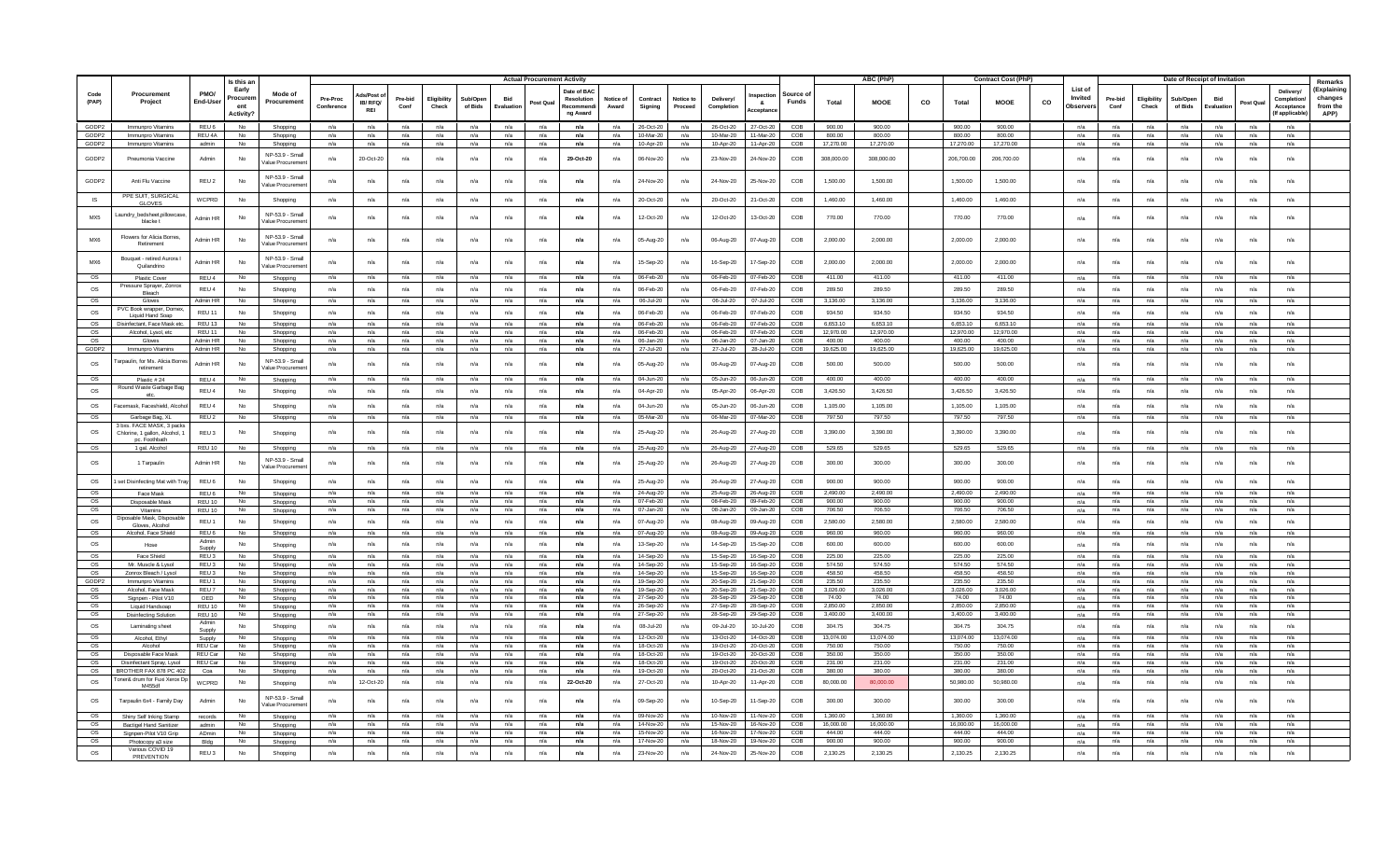|                        |                                                                  |                            | Is this ar                           |                                     |                        |                       |                 |                     |                     |                   | <b>Actual Procurement Activity</b> |                                                    |                    |                        |                      |                         |                        |                   |                    | ABC (PhP)          |    |                    | <b>Contract Cost (PhP</b> |    |                                 |                 |                      | Date of Receipt of Invitation |                  |            |                                                           | Remarks                                    |
|------------------------|------------------------------------------------------------------|----------------------------|--------------------------------------|-------------------------------------|------------------------|-----------------------|-----------------|---------------------|---------------------|-------------------|------------------------------------|----------------------------------------------------|--------------------|------------------------|----------------------|-------------------------|------------------------|-------------------|--------------------|--------------------|----|--------------------|---------------------------|----|---------------------------------|-----------------|----------------------|-------------------------------|------------------|------------|-----------------------------------------------------------|--------------------------------------------|
| Code<br>(PAP)          | Procurement<br>Project                                           | PMO/<br>End-User           | Early<br>Procuren<br>ent<br>Activity | Mode of<br>Procurement              | Pre-Proc<br>Conference | IB/RFQ/<br><b>REI</b> | Pre-bid<br>Conf | Eligibilit<br>Check | Sub/Oper<br>of Bids | Bid<br>Evaluation | Post Qual                          | Date of BAC<br>Resolution<br>Recommend<br>ng Award | Notice of<br>Award | Contract<br>Signing    | Notice to<br>Proceed | Delivery/<br>Completion | - 8.<br>cceptan        | Source o<br>Funds | Total              | <b>MOOE</b>        | co | Total              | <b>MOOE</b>               | co | List of<br>Invited<br>Observer: | Pre-bid<br>Conf | Eligibility<br>Check | Sub/Oper<br>of Bids           | Bid<br>Evaluatio | Post Qua   | <b>Delivery</b><br>Completio<br>Acceptance<br>If applicab | (Explaining<br>changes<br>from the<br>APP) |
| GODP2                  | Immunpro Vitamins                                                | REU <sub>6</sub>           | <b>No</b>                            | Shopping                            | n/a                    | n/a                   | n/a             | n/a                 | n/a                 | n/a               | n/a                                | n/a                                                | n/a                | 26-Oct-20              | n/a                  | 26-Oct-20               | 27-Oct-20              | COB               | 900.00             | 900.00             |    | 900.00             | 900.00                    |    | n/a                             | n/a             | n/a                  | n/a                           | n/a              | n/a        | n/a                                                       |                                            |
| GODP2                  | Immunpro Vitamins                                                | REU 4A                     | N <sub>0</sub>                       | Shopping                            | n/a                    | n/a                   | n/a             | n/a                 | n/a                 | n/a               | n/a                                | n/a                                                | n/a                | 10-Mar-20              | n/a                  | 10-Mar-20               | 11-Mar-20              | COB               | 800.00             | 800.00             |    | 800.00             | 800.00                    |    | n/a                             | n/a             | n/a                  | n/a                           | n/a              | n/a        | n/a                                                       |                                            |
| GODP2                  | Immunpro Vitamins                                                | admin                      | No                                   | Shopping                            | n/a                    | n/a                   | n/a             | n/a                 | n/a                 | n/a               | n/a                                | n/a                                                | n/a                | 10-Apr-20              | n/a                  | 10-Apr-20               | 11-Apr-20              | COB               | 17,270.00          | 17,270.00          |    | 17,270.00          | 17,270.00                 |    | n/a                             | n/a             | n/a                  | n/a                           | n/a              | n/a        | n/a                                                       |                                            |
| GODP2                  | Pneumonia Vaccine                                                | Admin                      | No                                   | NP-53.9 - Small<br>/alue Procuremen | n/a                    | 20-Oct-20             | n/a             | n/a                 | n/a                 | n/a               | n/a                                | 29-Oct-20                                          | n/a                | 06-Nov-20              | n/a                  | 23-Nov-20               | 24-Nov-20              | COB               | 308,000.00         | 308,000.00         |    | 206,700.00         | 206,700.00                |    | n/a                             | n/a             | n/a                  | n/a                           | n/a              | n/a        | n/a                                                       |                                            |
| GODP2                  | Anti Flu Vaccine                                                 | REU <sub>2</sub>           | No                                   | NP-53.9 - Smal<br>Value Procureme   | n/a                    | n/a                   | n/a             | n/a                 | n/a                 | n/a               | n/a                                | n/a                                                | n/a                | 24-Nov-20              | n/a                  | 24-Nov-20               | 25-Nov-20              | COB               | 1,500.00           | 1,500.00           |    | 1,500.00           | 1,500.00                  |    | n/a                             | n/a             | n/a                  | n/a                           | n/a              | n/a        | n/a                                                       |                                            |
| IS                     | PPE SUIT, SURGICAL<br>GLOVES.                                    | WCPRD                      | <b>No</b>                            | Shopping                            | n/a                    | n/a                   | n/a             | n/a                 | n/a                 | n/a               | n/a                                | n/a                                                | n/a                | 20-Oct-20              | n/a                  | 20-Oct-20               | 21-Oct-20              | COB               | 1.460.00           | 1.460.00           |    | 1.460.00           | 1.460.00                  |    | n/a                             | n/a             | n/a                  | n/a                           | n/a              | n/a        | n/a                                                       |                                            |
| MX5                    | Laundry_bedsheet,pillowcas<br>blacke t                           | Admin HF                   | No                                   | NP-53.9 - Smal<br>/alue Procureme   | n/a                    | n/a                   | n/a             | n/a                 | n/a                 | n/a               | n/a                                | n/a                                                | n/a                | 12-Oct-20              | n/a                  | 12-Oct-20               | 13-Oct-20              | COB               | 770.00             | 770.00             |    | 770.00             | 770.00                    |    | n/a                             | n/a             | n/a                  | n/a                           | n/a              | n/a        | n/a                                                       |                                            |
| MX6                    | Flowers for Alicia Borres<br>Retirement                          | Admin HP                   | No                                   | NP-53.9 - Small<br>Value Procuremen | n/a                    | n/a                   | n/a             | n/a                 | n/a                 | n/a               | n/a                                | n/a                                                | n/a                | 05-Aug-20              | n/a                  | 06-Aug-20               | 07-Aug-20              | COB               | 2,000.00           | 2,000.00           |    | 2,000.00           | 2,000.00                  |    | n/a                             | n/a             | n/a                  | n/a                           | n/a              | n/a        | n/a                                                       |                                            |
| MX6<br><b>OS</b>       | Bouquet - retired Aurora<br>Quilandrino                          | Admin HR                   | No<br><b>No</b>                      | NP-53.9 - Small<br>/alue Procuremer | n/a                    | n/a                   | n/a             | n/a                 | n/a                 | n/a               | n/a                                | n/a<br>n/a                                         | n/a                | 15-Sep-20              | n/a                  | 16-Sep-20               | 17-Sep-20<br>07-Feb-20 | COB<br>COB        | 2,000.00<br>411.00 | 2,000.00<br>411.00 |    | 2,000.00<br>411.00 | 2,000.00<br>411.00        |    | n/a                             | n/a             | n/a                  | n/a                           | n/a              | n/a        | n/a<br>n/a                                                |                                            |
|                        | Plastic Cover<br>Pressure Sprayer, Zonro                         | REU 4                      |                                      | Shopping                            | n/a                    | n/a                   | n/a             | n/a                 | n/a                 | n/a               | n/a                                |                                                    | n/a                | 06-Feb-20              | n/a                  | 06-Feb-20               |                        |                   |                    |                    |    |                    |                           |    | n/a                             | n/a             | n/a                  | n/a                           | n/a              | n/a        |                                                           |                                            |
| <b>OS</b><br>OS        | Bleach<br>Gloves                                                 | REU 4<br>Admin HI          | <b>No</b><br>No.                     | Shopping<br>Shopping                | n/a<br>n/a             | n/a<br>n/a            | n/a<br>n/a      | n/a<br>n/a          | n/a<br>n/a          | n/a<br>n/a        | n/a<br>n/a                         | n/a<br>n/a                                         | n/a<br>n/a         | 06-Feb-20<br>06-Jul-20 | n/a<br>n/a           | 06-Feb-20<br>06-Jul-20  | 07-Feb-20<br>07-Jul-20 | COB<br>COB        | 289.50<br>3,136.00 | 289.50<br>3.136.00 |    | 289.50<br>3.136.00 | 289.50<br>3.136.00        |    | n/a<br>n/a                      | n/a<br>n/a      | n/a<br>n/a           | n/a<br>n/a                    | n/a<br>n/a       | n/a<br>n/a | n/a<br>n/a                                                |                                            |
| OS                     | PVC Book wrapper, Dome<br>Liquid Hand Soap                       | REU 11                     | <b>No</b>                            | Shopping                            | n/a                    | n/a                   | n/a             | n/a                 | n/a                 | n/a               | n/a                                | n/a                                                | n/a                | 06-Feb-20              | n/a                  | 06-Feb-20               | 07-Feb-20              | COB               | 934.50             | 934.50             |    | 934.50             | 934.50                    |    | n/a                             | n/a             | n/a                  | n/a                           | n/a              | n/a        | n/a                                                       |                                            |
| OS                     | Disinfectant, Face Mask et                                       | <b>REU 13</b>              | No                                   | Shopping                            | n/a                    | n/a                   | n/a             | n/a                 | n/a                 | n/a               | n/a                                | n/a                                                | n/a                | 06-Feb-20              | n/a                  | 06-Feb-20               | 07-Feb-20              | COB               | 6,653.10           | 6,653.10           |    | 6,653.10           | 6,653.10                  |    | n/a                             | n/a             | n/a                  | n/a                           | n/a              | n/a        | n/a                                                       |                                            |
| <b>OS</b>              | Alcohol, Lysol, etc                                              | REU 11                     | <b>No</b>                            | Shopping                            | n/a                    | n/a                   | n/a             | n/a                 | n/a                 | n/a               | n/a                                | n/a                                                | n/a                | 06-Feb-20              | n/a                  | 06-Feb-20               | 07-Feb-20              | COB               | 12,970.00          | 12,970.00          |    | 12.970.00          | 12,970.00                 |    | n/a                             | n/a             | n/a                  | n/a                           | n/a              | n/a        | n/a                                                       |                                            |
| OS                     | Gloves                                                           | Admin HR                   | No                                   | Shopping                            | n/a                    | n/a                   | n/a             | n/a                 | n/a                 | n/a               | n/a                                | n/a                                                | n/a                | $06 -$ Jan-20          | n/a                  | 06-Jan-20               | $07 -$ lan-20          | COB               | 400.00             | 400.00             |    | 400.00             | 400.00                    |    | n/a                             | n/a             | n/a                  | n/a                           | n/a              | n/a        | n/a                                                       |                                            |
| GODP2                  | Immunpro Vitamins                                                | Admin HR                   | <b>No</b>                            | Shopping                            | n/a                    | n/a                   | n/a             | n/a                 | n/a                 | n/a               | n/a                                | n/a                                                | n/a                | 27-Jul-20              | n/a                  | 27-Jul-20               | 28-Jul-20              | COB               | 19,625.00          | 19,625.00          |    | 19,625.00          | 19,625.00                 |    | n/a                             | n/a             | n/a                  | n/a                           | n/a              | n/a        | n/a                                                       |                                            |
| OS                     | Farpaulin, for Ms. Alicia Borr<br>retirement                     | Admin HF                   | No                                   | NP-53.9 - Small<br>Value Procureme  | n/a                    | n/a                   | n/a             | n/a                 | n/a                 | n/a               | n/a                                | n/a                                                | n/a                | 05-Aug-20              | n/a                  | 06-Aug-20               | 07-Aug-20              | COB               | 500.00             | 500.00             |    | 500.00             | 500.00                    |    | n/a                             | n/a             | n/a                  | n/a                           | n/a              | n/a        | n/a                                                       |                                            |
| OS                     | Plastic #24                                                      | RFU <sub>4</sub>           | No                                   | Shopping                            | n/a                    | n/a                   | n/a             | n/a                 | n/a                 | n/a               | n/a                                | n/a                                                | n/a                | 04-Jun-20              | n/a                  | 05-Jun-20               | $06 - \frac{1}{2}$     | COB               | 400.00             | 400.00             |    | 400.00             | 400.00                    |    | n/a                             | n/a             | n/a                  | n/a                           | n/a              | n/a        | n/a                                                       |                                            |
| OS                     | Round Waste Garbage Bag                                          | REU 4                      | No                                   | Shopping                            | n/a                    | n/a                   | n/a             | n/a                 | n/a                 | n/a               | n/a                                | n/a                                                | n/a                | 04-Apr-20              | n/a                  | 05-Apr-20               | 06-Apr-20              | COB               | 3.426.50           | 3,426.50           |    | 3.426.50           | 3.426.50                  |    | n/a                             | n/a             | n/a                  | n/a                           | n/a              | n/a        | n/a                                                       |                                            |
| OS                     | acemask, Faceshield, Alcoho                                      | REU 4                      | No                                   | Shopping                            | n/a                    | n/a                   | n/a             | n/a                 | n/a                 | n/a               | n/a                                | n/a                                                | n/a                | 04-Jun-20              | n/a                  | 05-Jun-20               | 06-Jun-20              | COB               | 1.105.00           | 1,105.00           |    | 1.105.00           | 1.105.00                  |    | n/a                             | n/a             | n/a                  | n/a                           | n/a              | n/a        | n/a                                                       |                                            |
| <b>OS</b>              | Garbage Bag, XL<br>3 bxs. FACE MASK, 3 pack                      | REU <sub>2</sub>           | No                                   | Shopping                            | $n/a$                  | n/a                   | n/a             | n/a                 | n/a                 | n/a               | n/a                                | n/a                                                | n/a                | 05-Mar-20              | n/a                  | 06-Mar-20               | 07-Mar-20              | COB               | 797.50             | 797.50             |    | 797.50             | 797.50                    |    | n/a                             | n/a             | n/a                  | n/a                           | n/a              | n/a        | n/a                                                       |                                            |
| OS<br>OS               | Chlorine, 1 gallon, Alcohol, 1<br>no Footbhath<br>1 gal, Alcohol | REU <sub>3</sub><br>REU 10 | No<br><b>No</b>                      | Shopping<br>Shopping                | n/a<br>n/a             | n/a<br>n/a            | n/a<br>n/a      | n/a<br>n/a          | n/a<br>n/a          | n/a<br>n/a        | n/a<br>n/a                         | n/a<br>n/a                                         | n/a<br>n/a         | 25-Aug-20<br>25-Aug-20 | n/a<br>n/a           | 26-Aug-20<br>26-Aug-20  | 27-Aug-20<br>27-Aug-20 | COB<br>COB        | 3,390.00<br>529.65 | 3,390.00<br>529.65 |    | 3,390.00<br>529.65 | 3,390.00<br>529.65        |    | n/a<br>n/a                      | n/a<br>n/a      | n/a<br>n/a           | n/a<br>n/a                    | n/a<br>n/a       | n/a<br>n/a | n/a<br>n/a                                                |                                            |
| OS                     | 1 Tarpaulin                                                      | Admin HR                   | No                                   | NP-53.9 - Small<br>/alue Procureme  | n/a                    | n/a                   | n/a             | n/a                 | n/a                 | $n/a$             | n/a                                | n/a                                                | n/a                | 25-Aug-20              | n/a                  | 26-Aug-20               | 27-Aug-20              | COB               | 300.00             | 300.00             |    | 300.00             | 300.00                    |    | n/a                             | n/a             | n/a                  | n/a                           | n/a              | n/a        | n/a                                                       |                                            |
| OS                     | set Disinfecting Mat with T                                      | REU <sub>6</sub>           | <b>No</b>                            | Shopping                            | n/a                    | n/a                   | n/a             | n/a                 | n/a                 | n/a               | n/a                                | n/a                                                | n/a                | 25-Aug-20              | n/a                  | 26-Aug-20               | 27-Aug-20              | COB               | 900.00             | 900.00             |    | 900.00             | 900.00                    |    | n/a                             | n/a             | n/a                  | n/a                           | n/a              | n/a        | n/a                                                       |                                            |
| OS                     | Face Mask                                                        | REU <sub>6</sub>           | No                                   | Shopping                            | n/a                    | n/a                   | n/a             | n/a                 | n/a                 | n/a               | n/a                                | n/a                                                | n/a                | 24-Aug-20              | n/a                  | 25-Aug-20               | 26-Aug-20              | COB               | 2.490.00           | 2.490.00           |    | 2.490.00           | 2.490.00                  |    | n/a                             | n/a             | n/a                  | n/a                           | n/a              | n/a        | n/a                                                       |                                            |
| <b>OS</b>              | Disposable Mask                                                  | <b>REU 10</b>              | <b>No</b>                            | Shopping                            | n/a                    | n/a                   | n/a             | n/a                 | n/a                 | n/a               | n/a                                | n/a                                                | n/a                | 07-Feb-20              | n/a                  | 08-Feb-20               | 09-Feb-20              | COB               | 900.00             | 900.00             |    | 900.00             | 900.00                    |    | n/a                             | n/a             | n/a                  | n/a                           | n/a              | n/a        | n/a                                                       |                                            |
| OS                     | Vitamins                                                         | <b>REU 10</b>              | No                                   | Shopping                            | n/a                    | n/a                   | n/a             | n/a                 | n/a                 | n/a               | n/a                                | n/a                                                | n/a                | 07-Jan-20              | n/a                  | 08-Jan-20               | 09-Jan-20              | COB               | 706.50             | 706.50             |    | 706.50             | 706.50                    |    | n/a                             | n/a             | n/a                  | n/a                           | n/a              | n/a        | n/a                                                       |                                            |
| <b>OS</b>              | Diposable Mask, DIsposa<br>Gloves, Alcohol                       | REU <sub>1</sub>           | <b>No</b>                            | Shopping                            | n/a                    | n/a                   | n/a             | n/a                 | n/a                 | n/a               | n/a                                | n/a                                                | n/a                | 07-Aug-20              | n/a                  | 08-Aug-20               | 09-Aug-20              | COB               | 2,580.00           | 2,580.00           |    | 2.580.00           | 2,580.00                  |    | n/a                             | n/a             | n/a                  | n/a                           | n/a              | n/a        | n/a                                                       |                                            |
| OS<br>OS               | Alcohol, Face Shield<br>Hose                                     | REU <sub>6</sub><br>Admir  | No.<br>No                            | Shopping<br>Shopping                | n/a<br>n/a             | n/a<br>n/a            | n/a<br>n/a      | n/a<br>n/a          | n/a<br>n/a          | n/a<br>n/a        | n/a<br>n/a                         | n/a<br>n/a                                         | n/a<br>n/a         | 07-Aug-2<br>13-Sep-20  | n/a<br>n/a           | 08-Aug-20<br>14-Sep-20  | 09-Aug-20<br>15-Sep-20 | COB<br>COB        | 960.00<br>600.00   | 960.00<br>600.00   |    | 960.00<br>600.00   | 960.00<br>600.00          |    | n/a<br>n/a                      | n/a<br>n/a      | n/a<br>n/a           | n/a<br>n/a                    | n/a<br>n/a       | n/a<br>n/a | n/a<br>n/a                                                |                                            |
| OS                     | Face Shield                                                      | Suppl<br>REU <sub>3</sub>  | No                                   | Shopping                            | n/a                    | n/a                   | n/a             | n/a                 | n/a                 | n/a               | n/a                                | n/a                                                | n/a                | 14-Sep-20              | n/a                  | 15-Sep-20               | 16-Sep-20              | COB               | 225.00             | 225.00             |    | 225.00             | 225.00                    |    | n/a                             | n/a             | n/a                  | n/a                           | n/a              | n/a        | n/a                                                       |                                            |
| OS                     | Mr. Muscle & Lysol                                               | REU 3                      | <b>No</b>                            | Shopping                            | n/a                    | n/a                   | n/a             | n/a                 | n/a                 | n/a               | n/a                                | n/a                                                | n/a                | 14-Sep-20              | n/a                  | 15-Sep-20               | 16-Sep-20              | COB               | 574.50             | 574.50             |    | 574.50             | 574.50                    |    | n/a                             | n/a             | n/a                  | n/a                           | n/a              | n/a        | n/a                                                       |                                            |
| OS                     | Zonroy Bleach / Lysol                                            | <b>RELL3</b>               | <b>No</b>                            | Shopping                            | n/a                    | n/a                   | n/a             | n/a                 | n/a                 | n/a               | n/a                                | n/a                                                | n/a                | 14-Sep-20              | n/a                  | 15-Sep-20               | 16-Sep-20              | COB               | 458.50             | 458.50             |    | 458.50             | 458.50                    |    | n/a                             | n/a             | n/a                  | n/a                           | n/a              | n/a        | n/a                                                       |                                            |
| GODP2                  | Immunpro Vitamins                                                | REU <sub>1</sub>           | <b>No</b>                            | Shopping                            | n/a                    | n/a                   | n/a             | n/a                 | n/a                 | n/a               | n/a                                | n/a                                                | n/a                | 19-Sep-2               | n/a                  | 20-Sep-20               | 21-Sep-20              | COB               | 235.50             | 235.50             |    | 235.50             | 235.50                    |    | n/a                             | n/a             | n/a                  | n/a                           | n/a              | n/a        | n/a                                                       |                                            |
| OS                     | Alcohol, Face Mask                                               | REU 7                      | No                                   | Shopping                            | n/a                    | n/a                   | n/a             | n/a                 | n/a                 | n/a               | n/a                                | n/a                                                | n/a                | 19-Sep-20              | n/a                  | 20-Sep-20               | 21-Sep-20              | COB               | 3.026.00           | 3.026.00           |    | 3.026.00           | 3,026.00                  |    | n/a                             | n/a             | n/a                  | n/a                           | n/a              | n/a        | n/a                                                       |                                            |
| <b>OS</b><br><b>OS</b> | Signpen - Pilot V10                                              | OFD                        | <b>No</b><br>No                      | Shopping                            | n/a<br>n/a             | n/a<br>n/a            | n/a             | n/a                 | n/a<br>n/a          | n/a               | n/a<br>n/a                         | n/a<br>n/a                                         | n/a                | 27-Sep-20<br>26-Sep-20 | n/a<br>n/a           | 28-Sep-20<br>27-Sep-20  | 29-Sep-20<br>28-Sep-20 | COB<br>COB        | 74.00<br>2,850.00  | 74.00<br>2,850.00  |    | 74.00<br>2,850.00  | 74.00<br>2,850.00         |    | n/a                             | n/a<br>n/a      | n/a<br>n/a           | n/a<br>n/a                    | n/a<br>n/a       | n/a<br>n/a | n/a                                                       |                                            |
| OS                     | Liquid Handsoap<br><b>Disinfecting Solution</b>                  | REU 10<br><b>REU 10</b>    | No.                                  | Shopping<br>Shopping                | n/a                    | n/a                   | n/a<br>n/a      | n/a<br>n/a          | n/a                 | n/a<br>n/a        | n/a                                | n/a                                                | n/a<br>n/a         | 27-Sep-20              | n/a                  | 28-Sep-20               | 29-Sep-20              | COB               | 3.400.00           | 3.400.00           |    | 3.400.00           | 3.400.00                  |    | n/a<br>n/a                      | n/a             | n/a                  | n/a                           | n/a              | n/a        | n/a<br>n/a                                                |                                            |
| OS                     | Laminating sheet                                                 | Admin                      | <b>No</b>                            | Shopping                            | n/a                    | n/a                   | n/a             | n/a                 | n/a                 | n/a               | n/a                                | n/a                                                | n/a                | 08-Jul-20              | n/a                  | 09-Jul-20               | 10-Jul-20              | COB               | 304.75             | 304.75             |    | 304.75             | 304.75                    |    | n/a                             | n/a             | n/a                  | n/a                           | n/a              | n/a        | n/a                                                       |                                            |
| <b>OS</b>              | Alcohol. Ethyl                                                   | Supph<br>Supply            | <b>No</b>                            | Shopping                            | $n/a$                  | n/a                   | n/a             | n/a                 | n/a                 | n/a               | n/a                                | n/a                                                | n/a                | 12-Oct-20              | n/a                  | 13-Oct-20               | 14-Oct-20              | COB               | 13.074.00          | 13.074.00          |    | 13.074.00          | 13.074.00                 |    | n/a                             | n/a             | n/a                  | n/a                           | n/a              | n/a        | n/a                                                       |                                            |
| <b>OS</b>              | Alcohol                                                          | REU Car                    | <b>No</b>                            | Shopping                            | n/a                    | n/a                   | n/a             | n/a                 | n/a                 | n/a               | n/a                                | n/a                                                | n/a                | 18-Oct-20              | n/a                  | 19-Oct-20               | 20-Oct-20              | COB               | 750.00             | 750.00             |    | 750.00             | 750.00                    |    | n/a                             | n/a             | n/a                  | n/a                           | n/a              | n/a        | n/a                                                       |                                            |
| OS                     | Disposable Face Mask                                             | REU Car                    | No                                   | Shopping                            | n/a                    | n/a                   | n/a             | n/a                 | n/a                 | n/a               | n/a                                | n/a                                                | n/a                | 18-Oct-20              | n/a                  | 19-Oct-20               | 20-Oct-20              | COB               | 350.00             | 350.00             |    | 350.00             | 350.00                    |    | n/a                             | n/a             | n/a                  | n/a                           | n/a              | n/a        | n/a                                                       |                                            |
| <b>OS</b>              | Disinfectant Spray, Lysol                                        | REU Car                    | <b>No</b>                            | Shopping                            | n/a                    | n/a                   | n/a             | n/a                 | n/a                 | n/a               | n/a                                | n/a                                                | n/a                | 18-Oct-20              | n/a                  | 19-Oct-20               | 20-Oct-20              | COB               | 231.00             | 231.00             |    | 231.00             | 231.00                    |    | n/a                             | n/a             | n/a                  | n/a                           | n/a              | n/a        | n/a                                                       |                                            |
| OS                     | BROTHER FAX 878 PC 402                                           | Coa                        | <b>No</b>                            | Shopping                            | n/a                    | n/a                   | n/a             | n/a                 | n/a                 | n/a               | n/a                                | n/a                                                | n/a                | 19-Oct-20              | n/a                  | 20-Oct-20               | 21-Oct-20              | COB               | 380.00             | 380.00             |    | 380.00             | 380.00                    |    | n/a                             | n/a             | n/a                  | n/a                           | n/a              | n/a        | n/a                                                       |                                            |
| OS                     | oner& drum for Fuxi Xerox Dp<br><b>M455df</b>                    | WCPRD                      | No                                   | Shopping                            | n/a                    | 12-Oct-20             | n/a             | n/a                 | n/a                 | n/a               | n/a                                | 22-Oct-20                                          | n/a                | 27-Oct-20              | n/a                  | 10-Apr-20               | 11-Apr-20              | COB               | 80,000.00          | 80,000.00          |    | 50,980.00          | 50,980.00                 |    | n/a                             | n/a             | n/a                  | n/a                           | n/a              | n/a        | n/a                                                       |                                            |
| os<br>os               | Tarpaulin 6x4 - Family Day                                       | Admin                      | No<br>No                             | NP-53.9 - Small<br>alue Procureme   | n/a<br>n/a             | n/a                   | n/a             | n/a                 | n/a<br>n/a          | n/a<br>n/a        | n/a<br>n/a                         | n/a<br>n/a                                         | n/a<br>n/a         | 09-Sep-20<br>09-Nov-20 | n/a<br>n/a           | 10-Sep-20<br>10-Nov-20  | 11-Sep-20<br>11-Nov-20 | COB<br>COB        | 300.00<br>1,360.00 | 300.00<br>1,360.00 |    | 300.00<br>1,360.00 | 300.00<br>1,360.00        |    | n/a<br>n/a                      | n/a<br>n/a      | n/a<br>n/a           | n/a<br>n/a                    | n/a<br>n/a       | n/a<br>n/a | n/a                                                       |                                            |
| <b>OS</b>              | Shiny Self Inking Stamp<br><b>Baction Hand Sanitizer</b>         | records<br>admin           | <b>No</b>                            | Shopping<br>Shopping                | n/a                    | n/a<br>n/a            | n/a<br>n/a      | n/a<br>n/a          | n/a                 | n/a               | n/a                                | n/a                                                | n/a                | 14-Nov-20              | n/a                  | 15-Nov-20               | 16-Nov-20              | COB               | 16,000.00          | 16,000.00          |    | 16,000.00          | 16,000.00                 |    | n/a                             | n/a             | n/a                  | n/a                           | n/a              | n/a        | n/a<br>n/a                                                |                                            |
| <b>OS</b>              | Signpen-Pilot V10 Grip                                           | ADmin                      | <b>No</b>                            | Shopping                            | n/a                    | n/a                   | n/a             | n/a                 | n/a                 | n/a               | n/a                                | n/a                                                | n/a                | 15-Nov-20              | n/a                  | 16-Nov-20               | 17-Nov-20              | COB               | 444.00             | 444.00             |    | 444.00             | 444.00                    |    | n/a                             | n/a             | n/a                  | n/a                           | n/a              | n/a        | n/a                                                       |                                            |
| <b>OS</b>              | Photocopy a3 size                                                | Bldg                       | <b>No</b>                            | Shopping                            | n/a                    | n/a                   | n/a             | n/a                 | n/a                 | n/a               | n/a                                | n/a                                                | n/a                | 17-Nov-20              | n/a                  | 18-Nov-20               | 19-Nov-20              | COB               | 900.00             | 900.00             |    | 900.00             | 900.00                    |    | n/a                             | n/a             | n/a                  | n/a                           | n/a              | n/a        | n/a                                                       |                                            |
| os                     | Various COVID 19                                                 | REU 3                      | No                                   | Shopping                            | n/a                    | n/a                   | $n/a$           | $n/a$               | n/a                 | n/a               | n/a                                | n/a                                                | n/a                | 23-Nov-20              | n/a                  | 24-Nov-20               | 25-Nov-20              | COB               | 2,130.25           | 2,130.25           |    | 2,130.25           | 2,130.25                  |    | n/a                             | n/a             | n/a                  | n/a                           | n/a              | n/a        |                                                           |                                            |
|                        | PREVENTION                                                       |                            |                                      |                                     |                        |                       |                 |                     |                     |                   |                                    |                                                    |                    |                        |                      |                         |                        |                   |                    |                    |    |                    |                           |    |                                 |                 |                      |                               |                  |            |                                                           |                                            |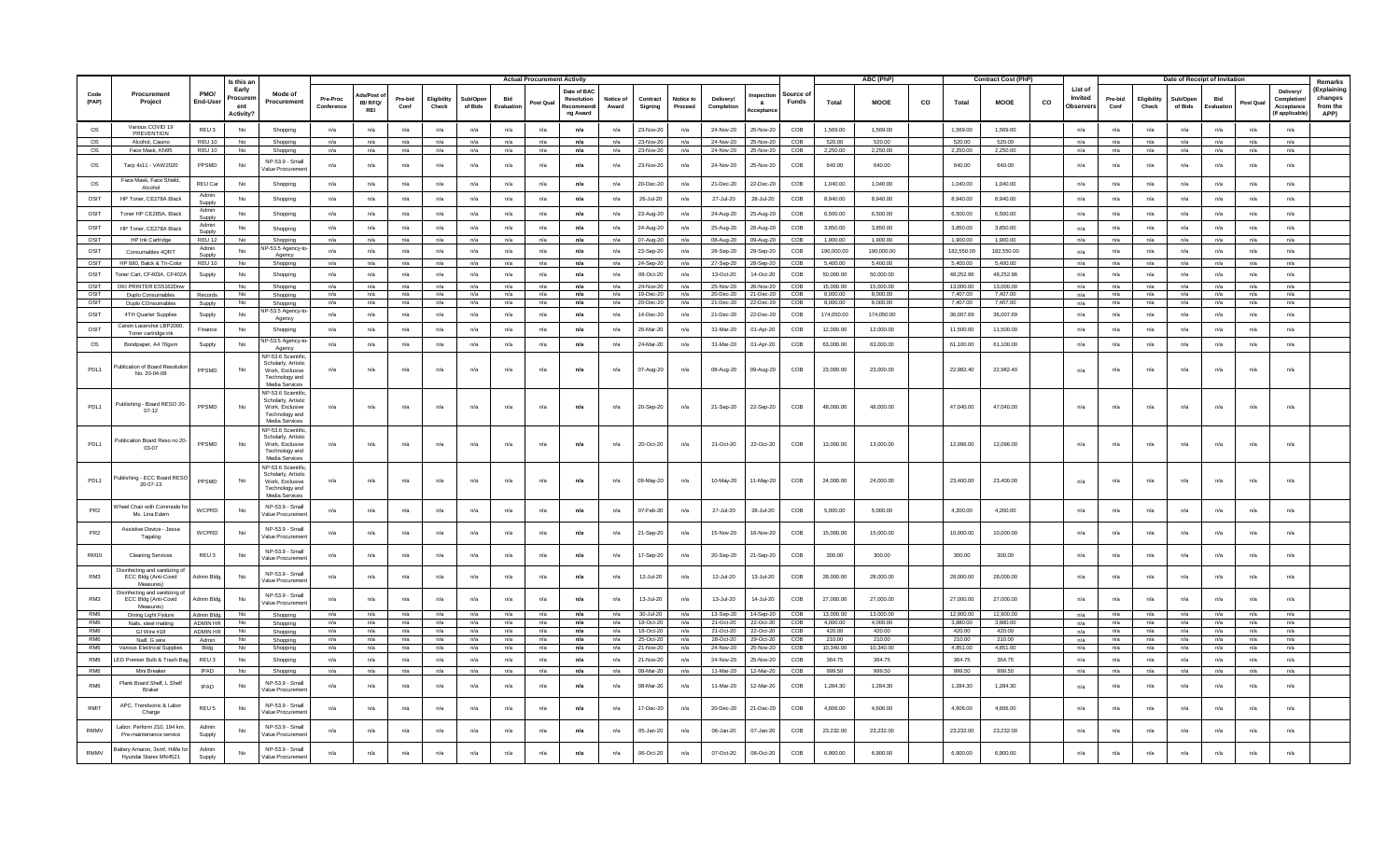|                                    |                                                                          |                                    | Is this a                          |                                                                                                  |                        |                           |                 |                     |                     |                   | <b>Actual Procurement Activity</b> |                                                                 |                   |                        |                      |                         |                        |                 |                        | ABC (PhP)              |    |                       | <b>Contract Cost (PhP)</b> |    |                                        |                 |                      | Date of Receipt of Invitation |                  |            |                                                       | Remarks                                    |
|------------------------------------|--------------------------------------------------------------------------|------------------------------------|------------------------------------|--------------------------------------------------------------------------------------------------|------------------------|---------------------------|-----------------|---------------------|---------------------|-------------------|------------------------------------|-----------------------------------------------------------------|-------------------|------------------------|----------------------|-------------------------|------------------------|-----------------|------------------------|------------------------|----|-----------------------|----------------------------|----|----------------------------------------|-----------------|----------------------|-------------------------------|------------------|------------|-------------------------------------------------------|--------------------------------------------|
| Code<br>(PAP)                      | Procurement<br>Project                                                   | PMO/<br>End-User                   | Early<br>ocurer<br>ent<br>Activitv | Mode of<br>Procurement                                                                           | Pre-Proc<br>Conference | de/Poet<br>IB/RFQ/<br>REI | Pre-bid<br>Conf | Eligibilit<br>Check | Sub/Oper<br>of Bids | Bid<br>Evaluation | Post Qua                           | Date of BA<br><b>Resolution</b><br><b>Recomment</b><br>ng Award | Notice o<br>Award | Contract<br>Sianina    | Notice to<br>Proceed | Delivery/<br>Completion | - 8.<br>cepta          | Source<br>Funds | <b>Total</b>           | <b>MOOE</b>            | co | Total                 | <b>MOOE</b>                | co | List of<br>Invited<br><b>Observers</b> | Pre-bid<br>Conf | Eligibility<br>Check | Sub/Oper<br>of Bids           | Bid<br>Evaluatio | Post Qua   | Delivery/<br>Completio<br>Acceptance<br>(If applicabl | (Explaining<br>changes<br>from the<br>APP) |
| OS                                 | Various COVID 19<br>PREVENTION                                           | REU <sub>3</sub>                   | <b>No</b>                          | Shopping                                                                                         | n/a                    | n/a                       | n/a             | n/a                 | n/a                 | n/a               | n/a                                | n/a                                                             | n/a               | 23-Nov-2               | n/a                  | 24-Nov-20               | 25-Nov-20              | COB             | 1.569.00               | 1.569.00               |    | 1.569.00              | 1.569.00                   |    | n/a                                    | n/a             | n/a                  | n/a                           | n/a              | n/a        | n/a                                                   |                                            |
| OS                                 | Alcohol, Casino                                                          | REU 10                             | No                                 | Shopping                                                                                         | n/a                    | n/a                       | n/a             | n/a                 | n/a                 | n/a               | n/a                                | n/a                                                             | n/a               | 23-Nov-20              | n/a                  | 24-Nov-20               | 25-Nov-20              | COB             | 520.00                 | 520.00                 |    | 520.00                | 520.00                     |    | n/a                                    | n/a             | n/a                  | n/a                           | n/a              | n/a        | n/a                                                   |                                            |
| OS                                 | Face Mask, KN95                                                          | <b>REU 10</b>                      | N <sub>0</sub>                     | Shopping                                                                                         | n/a                    | n/a                       | n/a             | n/a                 | n/a                 | n/a               | n/a                                | n/a                                                             | n/a               | 23-Nov-20              | n/a                  | 24-Nov-20               | 25-Nov-20              | COB             | 2,250.00               | 2,250.00               |    | 2,250.00              | 2,250.00                   |    | n/a                                    | n/a             | n/a                  | n/a                           | n/a              | n/a        | n/a                                                   |                                            |
| OS                                 | Tarp 4x11 - VAW 2020                                                     | PPSMD                              | <b>No</b>                          | NP-53.9 - Small<br>/alue Procureme                                                               | n/a                    | n/a                       | n/a             | n/a                 | n/a                 | n/a               | n/a                                | n/a                                                             | n/a               | 23-Nov-20              | n/a                  | 24-Nov-20               | 25-Nov-20              | COB             | 640.00                 | 640.00                 |    | 640.00                | 640.00                     |    | n/a                                    | n/a             | n/a                  | n/a                           | n/a              | n/a        | n/a                                                   |                                            |
| os                                 | Face Mask, Face Shield<br>Alcohol                                        | REU Ca                             | No                                 | Shopping                                                                                         | n/a                    | n/a                       | n/a             | n/a                 | n/a                 | n/a               | n/a                                | n/a                                                             | n/a               | 20-Dec-20              | n/a                  | 21-Dec-20               | 22-Dec-20              | COB             | 1,040.00               | 1,040.00               |    | 1,040.00              | 1,040.00                   |    | n/a                                    | n/a             | n/a                  | n/a                           | n/a              | n/a        | n/a                                                   |                                            |
| OSIT                               | HP Toner, CE278A Black                                                   | Admi<br>Suppl                      | No                                 | Shopping                                                                                         | n/a                    | n/a                       | n/a             | n/a                 | n/a                 | n/a               | n/a                                | n/a                                                             | n/a               | 26-Jul-20              | n/a                  | 27-Jul-20               | 28-Jul-20              | COB             | 8.940.00               | 8.940.00               |    | 8.940.00              | 8.940.00                   |    | n/a                                    | n/a             | n/a                  | n/a                           | n/a              | n/a        | n/a                                                   |                                            |
| OSIT                               | Toner HP CE285A, Black                                                   | Admin<br>Supph                     | No                                 | Shopping                                                                                         | n/a                    | n/a                       | n/a             | n/a                 | n/a                 | n/a               | n/a                                | n/a                                                             | n/a               | 23-Aug-20              | n/a                  | 24-Aug-20               | 25-Aug-20              | COB             | 6,500.00               | 6,500.00               |    | 6,500.00              | 6,500.00                   |    | n/a                                    | n/a             | n/a                  | n/a                           | n/a              | n/a        | n/a                                                   |                                            |
| OSIT                               | HP Toner, CE278A Black                                                   | Admin                              | No                                 | Shopping                                                                                         | n/a                    | n/a                       | n/a             | n/a                 | n/a                 | n/a               | n/a                                | n/a                                                             | n/a               | 24-Aug-20              | n/a                  | 25-Aug-20               | 26-Aug-20              | COB             | 3,850.00               | 3,850.00               |    | 3,850.00              | 3,850.00                   |    | n/a                                    | n/a             | n/a                  | n/a                           | n/a              | n/a        | n/a                                                   |                                            |
| OSIT                               | HP Ink Cartridge                                                         | REU 12                             | <b>No</b>                          | Shopping                                                                                         | n/a                    | n/a                       | n/a             | n/a                 | n/a                 | n/a               | n/a                                | n/a                                                             | n/a               | 07-Aug-20              | n/a                  | 08-Aug-20               | 09-Aug-20              | COB             | 1.900.00               | 1.900.00               |    | 1,900.00              | 1.900.00                   |    | n/a                                    | n/a             | n/a                  | n/a                           | n/a              | n/a        | n/a                                                   |                                            |
| OSIT                               | Consumables 4QRT                                                         | Admir                              | No                                 | -53.5 Agency<br>Agency                                                                           | n/a                    | n/a                       | n/a             | n/a                 | n/a                 | n/a               | n/a                                | n/a                                                             | n/a               | 23-Sep-20              | n/a                  | 28-Sep-20               | 29-Sep-2               | COB             | 190,000.00             | 190,000.00             |    | 182,550.00            | 182,550.00                 |    | n/a                                    | n/a             | n/a                  | n/a                           | n/a              | n/a        | n/a                                                   |                                            |
| OSIT                               | HP 680, Balck & Tri-Colo                                                 | REU 10                             | No.                                | Shopping                                                                                         | n/a                    | n/a                       | n/a             | n/a                 | n/a                 | n/a               | n/a                                | n/a                                                             | n/a               | 24-Sep-2               | n/a                  | 27-Sep-20               | 28-Sep-20              | COB             | 5,400.00               | 5,400.00               |    | 5,400.00              | 5,400.00                   |    | n/a                                    | n/a             | n/a                  | n/a                           | n/a              | n/a        | n/a                                                   |                                            |
| OSIT                               | Toner Cart, CF403A, CF402/                                               | Supply                             | No                                 | Shopping                                                                                         | n/a                    | n/a                       | n/a             | n/a                 | n/a                 | n/a               | n/a                                | n/a                                                             | n/a               | 08-Oct-20              | n/a                  | 13-Oct-20               | 14-Oct-20              | COB             | 50,000.00              | 50,000,00              |    | 48.252.96             | 48.252.96                  |    | n/a                                    | n/a             | n/a                  | n/a                           | n/a              | n/a        | n/a                                                   |                                            |
| OSIT                               | OKI PRINTER ES5162Dnw                                                    |                                    | <b>No</b>                          | Shopping                                                                                         | n/a                    | n/a                       | n/a             | n/a                 | n/a                 | n/a               | n/a                                | n/a                                                             | n/a               | 24-Nov-2               | n/a                  | 25-Nov-20               | 26-Nov-20              | COB             | 15,000.00              | 15,000.00              |    | 13,000.00             | 13.000.00                  |    | n/a                                    | n/a             | n/a                  | n/a                           | n/a              | n/a        | n/a                                                   |                                            |
| OSIT                               | Duplo Consumables                                                        | Records                            | No                                 | Shopping                                                                                         | n/a                    | n/a                       | n/a             | n/a                 | n/a                 | n/a               | n/a                                | n/a                                                             | n/a               | 19-Dec-2               | n/a                  | 20-Dec-20               | 21-Dec-20              | COB             | 8,000.00               | 8,000.0                |    | 7,407.00              | 7,407.00                   |    | n/a                                    | n/a             | n/a                  | n/a                           | n/a              | n/a        | n/a                                                   |                                            |
| OSIT<br>OSIT                       | Duplo COnsumables                                                        | Supply                             | <b>No</b><br><b>No</b>             | Shopping<br>P-53.5 Agency-t                                                                      | n/a<br>n/a             | n/a                       | n/a             | n/a                 | n/a                 | n/a<br>n/a        | n/a<br>n/a                         | n/a<br>n/a                                                      | n/a               | 20-Dec-2               | n/a                  | 21-Dec-20<br>21-Dec-20  | 22-Dec-20<br>22-Dec-20 | COB<br>COB      | 8.000.00<br>174,050,00 | 8.000.00<br>174,050.00 |    | 7.407.00<br>36.007.69 | 7.407.00<br>36.007.69      |    | n/a                                    | n/a             | n/a                  | n/a                           | n/a              | n/a        | n/a<br>n/a                                            |                                            |
|                                    | 4TH Quarter Supplies<br>Canon Lasershot LBP2000                          | Supply                             |                                    | Agency                                                                                           |                        | n/a                       | n/a             | n/a                 | n/a                 |                   |                                    |                                                                 | n/a               | 14-Dec-20              | n/a                  |                         |                        |                 |                        |                        |    |                       |                            |    | n/a                                    | n/a             | n/a                  | n/a                           | n/a              | n/a        |                                                       |                                            |
| OSIT                               | Toner cartridge in                                                       | Finance                            | No                                 | Shopping                                                                                         | n/a                    | n/a                       | n/a             | n/a                 | n/a                 | n/a               | n/a                                | n/a                                                             | n/a               | 26-Mar-20              | n/a                  | 31-Mar-20               | 01-Apr-20              | COB             | 12,000.00              | 12,000.00              |    | 11,500.00             | 11.500.00                  |    | n/a                                    | n/a             | n/a                  | n/a                           | n/a              | n/a        | n/a                                                   |                                            |
| OS                                 | Bondpaper, A4 70gsm                                                      | Supply                             | No                                 | P-53.5 Agency-t<br>Agency                                                                        | n/a                    | n/a                       | n/a             | n/a                 | n/a                 | n/a               | n/a                                | n/a                                                             | n/a               | 24-Mar-20              | n/a                  | 31-Mar-20               | 01-Apr-20              | COB             | 63,000.00              | 63,000.00              |    | 61,100.00             | 61.100.00                  |    | n/a                                    | n/a             | n/a                  | n/a                           | n/a              | n/a        | n/a                                                   |                                            |
| PDL <sub>1</sub>                   | ublication of Board Resolutio<br>No. 20-04-08                            | PPSMD                              | No                                 | IP-53.6 Scientifi<br>Scholarly, Artisti<br>Work, Exclusive<br>Technology and<br>Media Services   | n/a                    | n/a                       | n/a             | n/a                 | n/a                 | n/a               | n/a                                | n/a                                                             | n/a               | 07-Aug-20              | n/a                  | 08-Aug-20               | 09-Aug-20              | COB             | 23,000.00              | 23,000.00              |    | 22,982.40             | 22,982.40                  |    | n/a                                    | n/a             | n/a                  | n/a                           | n/a              | n/a        | n/a                                                   |                                            |
| PDL <sub>1</sub>                   | Publishing - Board RESO 20-<br>$07 - 12$                                 | PPSMD                              | No                                 | VP-53.6 Scientific<br>Scholarly, Artistic<br>Work, Exclusive<br>Technology and<br>Media Services | n/a                    | n/a                       | n/a             | n/a                 | n/a                 | n/a               | n/a                                | n/a                                                             | n/a               | 20-Sep-20              | n/a                  | 21-Sep-20               | 22-Sep-20              | COB             | 48,000.00              | 48,000.00              |    | 47,040.00             | 47,040.00                  |    | n/a                                    | n/a             | n/a                  | n/a                           | n/a              | n/a        | n/a                                                   |                                            |
| PDL1                               | Publication Board Reso no 20<br>03-07                                    | PPSMD                              | No                                 | NP-53.6 Scientific<br>Scholarly, Artistic<br>Work, Exclusive<br>Technology and<br>Media Services | n/a                    | n/a                       | n/a             | n/a                 | n/a                 | n/a               | n/a                                | n/a                                                             | n/a               | 20-Oct-20              | n/a                  | 21-Oct-20               | 22-Oct-20              | COB             | 13,000.00              | 13,000.00              |    | 12,096.00             | 12,096.00                  |    | n/a                                    | n/a             | n/a                  | n/a                           | n/a              | n/a        | n/a                                                   |                                            |
| PDL <sub>1</sub>                   | Publishing - ECC Board RESO<br>$20-07-13$                                | PPSMD                              | No                                 | NP-53.6 Scientific<br>Scholarly, Artistic<br>Work, Exclusive<br>Technology and<br>Media Services | n/a                    | n/a                       | n/a             | n/a                 | n/a                 | n/a               | n/a                                | n/a                                                             | n/a               | 09-May-20              | n/a                  | 10-May-20               | 11-May-20              | COB             | 24,000.00              | 24,000.00              |    | 23,400.00             | 23,400.00                  |    | n/a                                    | n/a             | n/a                  | n/a                           | n/a              | n/a        | n/a                                                   |                                            |
| PR <sub>2</sub>                    | heel Chair with Commode<br>Ms. Lina Edem                                 | WCPRD                              | No                                 | NP-53.9 - Small<br>/alue Procuremen                                                              | n/a                    | n/a                       | n/a             | n/a                 | n/a                 | n/a               | n/a                                | n/a                                                             | n/a               | 07-Feb-20              | n/a                  | 27-Jul-20               | 28-Jul-20              | COB             | 5,000.00               | 5,000.00               |    | 4,200.00              | 4,200.00                   |    | n/a                                    | n/a             | n/a                  | n/a                           | n/a              | n/a        | n/a                                                   |                                            |
| PR <sub>2</sub>                    | Assistive Device - Jessa<br>Tagalog                                      | WCPRD                              | No                                 | NP-53.9 - Small<br>Value Procuremer                                                              | n/a                    | n/a                       | n/a             | n/a                 | n/a                 | n/a               | n/a                                | n/a                                                             | n/a               | 21-Sep-20              | n/a                  | 15-Nov-20               | 16-Nov-20              | COB             | 15,000.00              | 15,000.00              |    | 10.000.00             | 10.000.00                  |    | n/a                                    | n/a             | n/a                  | n/a                           | n/a              | n/a        | n/a                                                   |                                            |
| <b>RM10</b>                        | <b>Cleaning Services</b>                                                 | REU 3                              | No                                 | NP-53.9 - Small<br>Value Procuremer                                                              | n/a                    | n/a                       | $n/a$           | n/a                 | $n/a$               | $n/a$             | n/a                                | n/a                                                             | n/a               | 17-Sep-20              | n/a                  | 20-Sep-20               | 21-Sep-20              | COB             | 300.00                 | 300.00                 |    | 300.00                | 300.00                     |    | n/a                                    | n/a             | n/a                  | n/a                           | $n/a$            | n/a        | $n/a$                                                 |                                            |
| RM3                                | Disinfecting and sanitizing o<br>ECC Bldg (Anti-Covid<br><b>Measures</b> | Admin Bldg                         | No                                 | NP-53.9 - Small<br>/alue Procuremer                                                              | n/a                    | n/a                       | n/a             | n/a                 | n/a                 | n/a               | n/a                                | n/a                                                             | n/a               | 12-Jul-20              | n/a                  | 12-Jul-20               | 13-Jul-20              | COB             | 28,000.00              | 28,000.00              |    | 28,000.00             | 28,000.00                  |    | n/a                                    | n/a             | n/a                  | n/a                           | n/a              | n/a        | n/a                                                   |                                            |
| RM3                                | Disinfecting and sanitizing o<br>ECC Bldg (Anti-Covid<br>Measures        | Admin Bldg                         | No                                 | NP-53.9 - Small<br>/alue Procureme                                                               | n/a                    | n/a                       | n/a             | n/a                 | n/a                 | n/a               | n/a                                | n/a                                                             | n/a               | 13-Jul-20              | n/a                  | 13-Jul-20               | 14-Jul-20              | COB             | 27,000.00              | 27,000.00              |    | 27,000.00             | 27,000.00                  |    | n/a                                    | n/a             | n/a                  | n/a                           | n/a              | n/a        | $n/a$                                                 |                                            |
| RM <sub>6</sub>                    | Dining Light Fixture                                                     | Admin Bldg                         | No                                 | Shopping                                                                                         | n/a                    | n/a                       | n/a             | n/a                 | n/a                 | n/a               | n/a                                | n/a                                                             | n/a               | $30 - 11 - 20$         | n/a                  | 13-Sep-20               | 14-Sep-20              | COB             | 13,000.00              | 13,000.00              |    | 12,900.00             | 12,900.00                  |    | n/a                                    | n/a             | n/a                  | n/a                           | n/a              | n/a        | n/a                                                   |                                            |
| RM <sub>6</sub><br>RM <sub>6</sub> | Nails, steel matting<br>GI Wire #18                                      | <b>ADMIN HR</b><br><b>ADMIN HR</b> | No<br>N <sub>0</sub>               | Shopping<br>Shopping                                                                             | n/a<br>n/a             | n/a<br>n/a                | n/a<br>n/a      | n/a<br>n/a          | n/a<br>n/a          | n/a<br>n/a        | n/a<br>n/a                         | n/a<br>n/a                                                      | n/a<br>n/a        | 18-Oct-20<br>18-Oct-20 | n/a<br>n/a           | 21-Oct-20<br>21-Oct-20  | 22-Oct-20<br>22-Oct-20 | COB<br>COB      | 4,000.00<br>420.00     | 4,000.00<br>420.00     |    | 3,880.00<br>420.00    | 3,880.00<br>420.00         |    | n/a<br>n/a                             | n/a<br>n/a      | n/a<br>n/a           | n/a<br>n/a                    | n/a<br>n/a       | n/a<br>n/a | n/a<br>n/a                                            |                                            |
| RM <sub>6</sub>                    | Naill, G wire                                                            | Admin                              | N <sub>0</sub>                     | Shopping                                                                                         | n/a                    | n/a                       | n/a             | n/a                 | n/a                 | n/a               | n/a                                | n/a                                                             | n/a               | 25-Oct-20              | n/a                  | 28-Oct-20               | 29-Oct-20              | COB             | 210.00                 | 210.00                 |    | 210.00                | 210.00                     |    | n/a                                    | n/a             | n/a                  | n/a                           | n/a              | n/a        | n/a                                                   |                                            |
| RM <sub>6</sub>                    | Various Electrical Supplie                                               | Bldg                               | <b>No</b>                          | Shopping                                                                                         | n/a                    | n/a                       | n/a             | n/a                 | n/a                 | n/a               | n/a                                | n/a                                                             | n/a               | 21-Nov-20              | n/a                  | 24-Nov-20               | 25-Nov-20              | COB             | 10,340.00              | 10,340.00              |    | 4.851.00              | 4,851.00                   |    | n/a                                    | n/a             | n/a                  | n/a                           | n/a              | n/a        | n/a                                                   |                                            |
| RM6                                | ED Premier Bulb & Trash                                                  | REU <sub>3</sub>                   | <b>No</b>                          | Shopping                                                                                         | n/a                    | n/a                       | n/a             | n/a                 | n/a                 | n/a               | n/a                                | n/a                                                             | n/a               | 21-Nov-2               | n/a                  | 24-Nov-20               | 25-Nov-20              | COB             | 364.75                 | 364.75                 |    | 364.75                | 364.75                     |    | n/a                                    | n/a             | n/a                  | n/a                           | n/a              | n/a        | n/a                                                   |                                            |
| RM <sub>6</sub>                    | Mini Breake                                                              | <b>IPAD</b>                        | <b>No</b>                          | Shopping                                                                                         | n/a                    | n/a                       | n/a             | n/a                 | n/a                 | n/a               | n/a                                | n/a                                                             | n/a               | 08-Mar-2               | n/a                  | 11-Mar-20               | 12-Mar-20              | COB             | 999.50                 | 999.50                 |    | 999.50                | 999.50                     |    | n/a                                    | n/a             | n/a                  | n/a                           | n/a              | n/a        | n/a                                                   |                                            |
| RM <sub>6</sub>                    | Plank Board Shelf, L Shelf<br>Braker                                     | IPAD                               | No                                 | NP-53.9 - Small<br>/alue Procuremer                                                              | n/a                    | n/a                       | n/a             | n/a                 | n/a                 | n/a               | n/a                                | n/a                                                             | n/a               | 08-Mar-20              | n/a                  | 11-Mar-20               | 12-Mar-2               | COB             | 1,284.30               | 1,284.30               |    | 1,284.30              | 1,284.30                   |    | n/a                                    | n/a             | n/a                  | n/a                           | n/a              | n/a        | n/a                                                   |                                            |
| RMIT                               | APC, Trendsonic & Labor<br>Charge                                        | REU <sub>5</sub>                   | <b>No</b>                          | NP-53.9 - Smal<br>/alue Procureme                                                                | n/a                    | n/a                       | n/a             | n/a                 | n/a                 | n/a               | n/a                                | n/a                                                             | n/a               | 17-Dec-20              | n/a                  | 20-Dec-20               | 21-Dec-20              | COB             | 4,606.00               | 4,606.00               |    | 4.606.00              | 4,606.00                   |    | n/a                                    | n/a             | n/a                  | n/a                           | n/a              | n/a        | n/a                                                   |                                            |
| <b>RMMV</b>                        | Labor: Perform 210, 194 km<br>Pre-maintenance service                    | Admin<br>Supply                    | No                                 | NP-53.9 - Small<br>Value Procuremer                                                              | n/a                    | $n/a$                     | n/a             | n/a                 | $n/a$               | $n/a$             | n/a                                | n/a                                                             | n/a               | 05-Jan-20              | n/a                  | 06-Jan-20               | 07-Jan-20              | COB             | 23,232.00              | 23,232.00              |    | 23,232.00             | 23,232.00                  |    | n/a                                    | n/a             | n/a                  | n/a                           | n/a              | n/a        | $n/a$                                                 |                                            |
| <b>RMMV</b>                        | Battery Amaron, 3smf, Hilife fo<br>Hyundai Starex MN4521                 | Admin<br>Supply                    | No                                 | NP-53.9 - Small<br>/alue Procuremer                                                              | n/a                    | n/a                       | n/a             | n/a                 | n/a                 | n/a               | n/a                                | n/a                                                             | n/a               | 06-Oct-20              | n/a                  | $07-Ort-20$             | 08-Oct-20              | COB             | 6.900.00               | 6.900.00               |    | 6.900.00              | 6,900.00                   |    | n/a                                    | n/a             | n/a                  | n/a                           | n/a              | n/a        | n/a                                                   |                                            |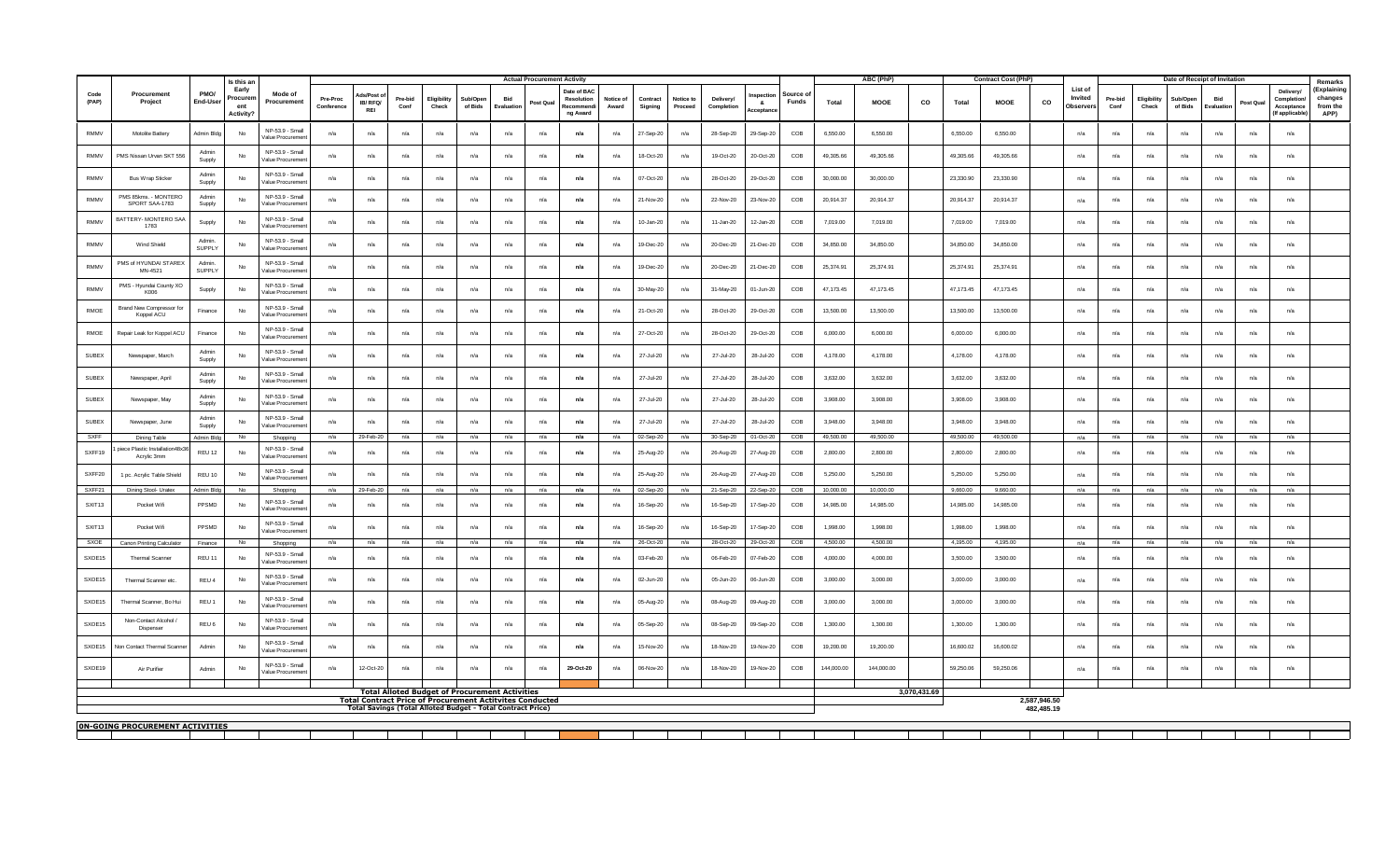|                                                                                                                                                                                                                                                                       |                                               |                        | Is this an                                        |                                                        |                        |                       | <b>Actual Procurement Activity</b> |                      |                                                                 |                  |            |                                                   |                    |                        |                      |                         |                                                        |                      | <b>ABC (PhP)</b>     |              |                      | <b>Contract Cost (PhP)</b> |              |                                 |                 |                      | Date of Receipt of Invitation |                   |            |                                                                       | Remarks                                   |
|-----------------------------------------------------------------------------------------------------------------------------------------------------------------------------------------------------------------------------------------------------------------------|-----------------------------------------------|------------------------|---------------------------------------------------|--------------------------------------------------------|------------------------|-----------------------|------------------------------------|----------------------|-----------------------------------------------------------------|------------------|------------|---------------------------------------------------|--------------------|------------------------|----------------------|-------------------------|--------------------------------------------------------|----------------------|----------------------|--------------|----------------------|----------------------------|--------------|---------------------------------|-----------------|----------------------|-------------------------------|-------------------|------------|-----------------------------------------------------------------------|-------------------------------------------|
| Code<br>(PAP)                                                                                                                                                                                                                                                         | Procurement<br>Project                        | PMO/<br>End-User       | Early<br>Procuren<br>ent<br>Activity <sup>®</sup> | Mode of<br>Procurement                                 | Pre-Proc<br>Conference | IB/RFO/<br><b>REI</b> | Pre-bid<br>Conf                    | Eligibility<br>Check | <b>Sub/Oper</b><br>of Bids                                      | Bid<br>Evaluatio | Post Qua   | Date of BAC<br>Resolution<br>Recommen<br>ng Award | Notice of<br>Award | Contract<br>Signing    | Notice to<br>Proceed | Delivery/<br>Completion | Source c<br>nectio<br>Funds<br>$\mathbf{a}$<br>ceptar: | Total                | <b>MOOE</b>          | co           | Total                | <b>MOOE</b>                | co           | List of<br>Invited<br>Observer: | Pre-bid<br>Conf | Eligibility<br>Check | Sub/Oper<br>of Bids           | Bid<br>Evaluation | Post Qua   | <b>Delivery</b><br><b>Completion</b><br>Acceptance<br>(If applicable) | Explaining<br>changes<br>from the<br>APP) |
| <b>RMMV</b>                                                                                                                                                                                                                                                           | Motolite Batter                               | Admin Bld              | <b>No</b>                                         | NP-53.9 - Smal<br>Value Procuremer                     | n/a                    | n/a                   | n/a                                | n/a                  | n/a                                                             | n/a              | n/a        | n/a                                               | n/a                | 27-Sep-20              | n/a                  | 28-Sep-20               | 29-Sep-20<br>COB                                       | 6,550.00             | 6,550.00             |              | 6,550.00             | 6,550.00                   |              | n/a                             | n/a             | n/a                  | n/a                           | n/a               | n/a        | n/a                                                                   |                                           |
| <b>RMMV</b>                                                                                                                                                                                                                                                           | PMS Nissan Urvan SKT 556                      | Admin<br>Supply        | No                                                | NP-53.9 - Smal<br>Value Procuremer                     | n/a                    | n/a                   | n/a                                | n/a                  | n/a                                                             | n/a              | n/a        | n/a                                               | n/a                | 18-Oct-20              | n/a                  | 19-Oct-20               | 20-Oct-20<br>COB                                       | 49,305.66            | 49,305.66            |              | 49,305.66            | 49,305.66                  |              | n/a                             | n/a             | n/a                  | n/a                           | n/a               | n/a        | n/a                                                                   |                                           |
| <b>RMMV</b>                                                                                                                                                                                                                                                           | <b>Bus Wrap Sticker</b>                       | Admir<br>Supply        | No                                                | NP-53.9 - Smal<br>Value Procuremer                     | n/a                    | n/a                   | n/a                                | n/a                  | n/a                                                             | n/a              | n/a        | n/a                                               | n/a                | 07-Oct-20              | n/a                  | 28-Oct-20               | 29-Oct-20<br>COB                                       | 30,000,00            | 30,000.00            |              | 23,330.90            | 23,330.90                  |              | n/a                             | n/a             | n/a                  | n/a                           | n/a               | n/a        | n/a                                                                   |                                           |
| <b>RMMV</b>                                                                                                                                                                                                                                                           | PMS 85kms. - MONTERO<br>SPORT SAA-1783        | Admin<br>Supply        | No                                                | NP-53.9 - Small<br>Value Procuremen                    | n/a                    | n/a                   | n/a                                | n/a                  | n/a                                                             | n/a              | n/a        | n/a                                               | n/a                | 21-Nov-20              | n/a                  | 22-Nov-20               | 23-Nov-20<br>COB                                       | 20,914.37            | 20,914.37            |              | 20,914.37            | 20,914.37                  |              | n/a                             | n/a             | n/a                  | n/a                           | n/a               | n/a        | n/a                                                                   |                                           |
| <b>RMMV</b>                                                                                                                                                                                                                                                           | BATTERY- MONTERO SAA<br>1783                  | Supply                 | No                                                | NP-53.9 - Smal<br>Value Procuremer                     | n/a                    | n/a                   | n/a                                | n/a                  | n/a                                                             | n/a              | n/a        | n/a                                               | n/a                | 10-Jan-20              | n/a                  | 11-Jan-20               | COB<br>12-Jan-20                                       | 7.019.00             | 7.019.00             |              | 7.019.00             | 7.019.00                   |              | n/a                             | n/a             | n/a                  | n/a                           | n/a               | n/a        | n/a                                                                   |                                           |
| <b>RMMV</b>                                                                                                                                                                                                                                                           | Wind Shield                                   | Admin<br><b>SUPPLY</b> | No                                                | NP-53.9 - Small<br>Value Procuremer                    | n/a                    | n/a                   | n/a                                | n/a                  | n/a                                                             | n/a              | n/a        | n/a                                               | n/a                | 19-Dec-20              | n/a                  | 20-Dec-20               | COB<br>21-Dec-20                                       | 34,850.00            | 34,850.00            |              | 34,850.00            | 34,850.00                  |              | n/a                             | n/a             | n/a                  | n/a                           | n/a               | n/a        | n/a                                                                   |                                           |
| <b>RMMV</b>                                                                                                                                                                                                                                                           | PMS of HYUNDAI STAREX<br>MN-4521              | Admin<br>SUPPLY        | No                                                | NP-53.9 - Smal<br>Value Procuremer                     | n/a                    | n/a                   | n/a                                | n/a                  | n/a                                                             | n/a              | n/a        | n/a                                               | n/a                | 19-Dec-20              | n/a                  | 20-Dec-20               | 21-Dec-20<br>COB                                       | 25,374.91            | 25,374.91            |              | 25,374.91            | 25,374.91                  |              | n/a                             | n/a             | n/a                  | n/a                           | n/a               | n/a        | n/a                                                                   |                                           |
| <b>RMMV</b>                                                                                                                                                                                                                                                           | PMS - Hyundai County XO<br>K006               | Supply                 | No                                                | NP-53.9 - Small<br>Value Procuremen                    | n/a                    | n/a                   | n/a                                | n/a                  | n/a                                                             | n/a              | n/a        | n/a                                               | n/a                | 30-May-20              | n/a                  | 31-May-20               | COB<br>01-Jun-20                                       | 47.173.45            | 47.173.45            |              | 47.173.45            | 47.173.45                  |              | n/a                             | n/a             | n/a                  | n/a                           | n/a               | n/a        | n/a                                                                   |                                           |
| RMOE                                                                                                                                                                                                                                                                  | <b>Brand New Compressor for</b><br>Koopel ACU | Finance                | No                                                | NP-53.9 - Sma<br>Value Procuremer                      | n/a                    | n/a                   | n/a                                | n/a                  | n/a                                                             | n/a              | n/a        | n/a                                               | n/a                | 21-Oct-20              | n/a                  | 28-Oct-20               | 29-Oct-20<br>COB                                       | 13,500.00            | 13,500.00            |              | 13,500.00            | 13,500.00                  |              | n/a                             | n/a             | n/a                  | n/a                           | n/a               | n/a        | n/a                                                                   |                                           |
| RMOE                                                                                                                                                                                                                                                                  | Repair Leak for Koppel ACU                    | Finance                | No                                                | NP-53.9 - Small<br>Value Procuremer                    | n/a                    | n/a                   | n/a                                | n/a                  | n/a                                                             | n/a              | n/a        | n/a                                               | n/a                | 27-Oct-20              | n/a                  | 28-Oct-20               | 29-Oct-20<br>COB                                       | 6.000.00             | 6,000.00             |              | 6,000.00             | 6,000.00                   |              | n/a                             | n/a             | n/a                  | n/a                           | n/a               | n/a        | n/a                                                                   |                                           |
| <b>SUBEX</b>                                                                                                                                                                                                                                                          | Newspaper, March                              | Admir<br>Supply        | <b>No</b>                                         | NP-53.9 - Smal<br>Value Procuremer                     | n/a                    | n/a                   | n/a                                | n/a                  | n/a                                                             | n/a              | n/a        | n/a                                               | n/a                | 27-Jul-20              | n/a                  | 27-Jul-20               | 28-Jul-20<br>COB                                       | 4,178.00             | 4,178.00             |              | 4,178.00             | 4,178.00                   |              | n/a                             | n/a             | n/a                  | n/a                           | n/a               | n/a        | n/a                                                                   |                                           |
| <b>SUBEX</b>                                                                                                                                                                                                                                                          | Newspaper, April                              | Admin<br>Supply        | No                                                | NP-53.9 - Small<br>Value Procuremer                    | n/a                    | n/a                   | n/a                                | n/a                  | n/a                                                             | n/a              | n/a        | n/a                                               | n/a                | 27-Jul-20              | n/a                  | 27-Jul-20               | 28-Jul-20<br>COB                                       | 3.632.00             | 3.632.00             |              | 3,632.00             | 3.632.00                   |              | n/a                             | n/a             | n/a                  | n/a                           | n/a               | n/a        | n/a                                                                   |                                           |
| <b>SUBEX</b>                                                                                                                                                                                                                                                          | Newspaper, May                                | Admin<br>Supply        | No                                                | NP-53.9 - Smal<br>Value Procuremer                     | n/a                    | n/a                   | n/a                                | n/a                  | n/a                                                             | n/a              | n/a        | n/a                                               | n/a                | 27-Jul-20              | n/a                  | 27-Jul-20               | 28-Jul-20<br>COB                                       | 3,908.00             | 3,908.00             |              | 3,908.00             | 3,908.00                   |              | n/a                             | n/a             | n/a                  | n/a                           | n/a               | n/a        | n/a                                                                   |                                           |
| <b>SUBEX</b>                                                                                                                                                                                                                                                          | Newspaper, June                               | Admir<br>Supply        | No                                                | NP-53.9 - Smal<br>Value Procuremer                     | n/a                    | n/a                   | n/a                                | n/a                  | n/a                                                             | n/a              | n/a        | n/a                                               | n/a                | 27-Jul-20              | n/a                  | 27-Jul-20               | 28-Jul-20<br>COB                                       | 3,948.00             | 3,948.00             |              | 3,948.00             | 3,948.00                   |              | n/a                             | n/a             | n/a                  | n/a                           | n/a               | n/a        | n/a                                                                   |                                           |
| <b>SXFF</b>                                                                                                                                                                                                                                                           | Dining Table                                  | dmin Bldc              | No.                                               | Shopping                                               | n/a                    | 29-Feb-20             | n/a                                | n/a                  | n/a                                                             | n/a              | n/a        | n/a                                               | n/a                | $02 -$ Sep-20          | n/a                  | $30-Sen-20$             | $01-Ort-20$<br>COB                                     | 49,500.00            | 49.500.00            |              | 49,500.00            | 49.500.00                  |              | n/a                             | n/a             | n/a                  | n/a                           | n/a               | n/a        | n/a                                                                   |                                           |
| SXFF19                                                                                                                                                                                                                                                                | ece Plastic Installation48><br>Acrylic 3mm    | REU 12                 | <b>No</b>                                         | NP-53.9 - Smal<br>Value Procuremer                     | n/a                    | n/a                   | n/a                                | n/a                  | n/a                                                             | n/a              | n/a        | n/a                                               | n/a                | 25-Aug-20              | n/a                  | 26-Aug-20               | 27-Aug-20<br>COB                                       | 2,800.00             | 2,800.00             |              | 2,800.00             | 2,800.00                   |              | n/a                             | n/a             | n/a                  | n/a                           | n/a               | n/a        | n/a                                                                   |                                           |
| SXFF20                                                                                                                                                                                                                                                                | 1 pc. Acrylic Table Shield                    | REU 10                 | No                                                | NP-53.9 - Sma<br>Value Procuremer                      | n/a                    | n/a                   | n/a                                | n/a                  | n/a                                                             | n/a              | n/a        | n/a                                               | n/a                | 25-Aug-20              | n/a                  | 26-Aug-20               | COB<br>27-Aug-20                                       | 5.250.00             | 5,250.00             |              | 5,250,00             | 5,250.00                   |              | n/a                             | n/a             | n/a                  | n/a                           | n/a               | n/a        | n/a                                                                   |                                           |
| SXFF21                                                                                                                                                                                                                                                                | Dining Stool- Uratex                          | Admin Bldg             | No                                                | Shopping                                               | n/a                    | 29-Feb-20             | n/a                                | n/a                  | n/a                                                             | n/a              | n/a        | n/a                                               | n/a                | 02-Sep-20              | n/a                  | 21-Sep-20               | 22-Sep-20<br>COB                                       | 10,000.00            | 10,000.00            |              | 9,660.00             | 9,660.00                   |              | n/a                             | n/a             | n/a                  | n/a                           | n/a               | n/a        | n/a                                                                   |                                           |
| SXIT13                                                                                                                                                                                                                                                                | Pocket Wifi                                   | PPSMD                  | <b>No</b>                                         | NP-53.9 - Small<br>Value Procuremer                    | n/a                    | n/a                   | n/a                                | n/a                  | n/a                                                             | n/a              | n/a        | n/a                                               | n/a                | 16-Sep-20              | n/a                  | 16-Sep-20               | 17-Sep-20<br>COB                                       | 14,985.00            | 14,985.00            |              | 14,985.00            | 14,985.00                  |              | n/a                             | n/a             | n/a                  | n/a                           | n/a               | n/a        | n/a                                                                   |                                           |
| SXIT13<br>SXOE                                                                                                                                                                                                                                                        | Pocket Wifi                                   | PPSMD                  | No<br>No                                          | NP-53.9 - Smal<br>Value Procuremer                     | n/a<br>n/a             | n/a<br>n/a            | n/a<br>n/a                         | $n/a$<br>n/a         | n/a<br>n/a                                                      | n/a<br>n/a       | n/a<br>n/a | n/a<br>n/a                                        | n/a<br>n/a         | 16-Sep-20<br>26-Oct-20 | n/a<br>n/a           | 16-Sep-20<br>28-Oct-20  | 17-Sep-20<br>COB<br>29-Oct-20<br>COB                   | 1,998.00<br>4.500.00 | 1.998.00<br>4.500.00 |              | 1.998.00<br>4.195.00 | 1,998.00<br>4.195.00       |              | n/a<br>n/a                      | n/a<br>n/a      | n/a<br>n/a           | n/a<br>n/a                    | n/a<br>n/a        | n/a<br>n/a | n/a<br>n/a                                                            |                                           |
|                                                                                                                                                                                                                                                                       | Canon Printing Calculator                     | Finance                |                                                   | Shopping                                               |                        |                       |                                    |                      |                                                                 |                  |            |                                                   |                    |                        |                      |                         |                                                        |                      |                      |              |                      |                            |              |                                 |                 |                      |                               |                   |            |                                                                       |                                           |
| SXOE15                                                                                                                                                                                                                                                                | Thermal Scanner                               | REU 11                 | No                                                | NP-53.9 - Small<br>Value Procuremer<br>NP-53.9 - Small | n/a                    | n/a                   | n/a                                | n/a                  | n/a                                                             | n/a              | n/a        | n/a                                               | n/a                | 03-Feb-20              | n/a                  | 06-Feb-20               | 07-Feb-20<br>COB                                       | 4,000.00             | 4,000.00             |              | 3,500.00             | 3,500.00                   |              | n/a                             | n/a             | n/a                  | n/a                           | n/a               | n/a        | n/a                                                                   |                                           |
| SXOE15                                                                                                                                                                                                                                                                | Thermal Scanner etc.                          | REU 4                  | No                                                | Value Procuremen                                       | n/a                    | n/a                   | n/a                                | n/a                  | n/a                                                             | n/a              | n/a        | n/a                                               | n/a                | 02-Jun-20              | n/a                  | 05-Jun-20               | 06-Jun-20<br>COB                                       | 3,000.00             | 3.000.00             |              | 3,000.00             | 3,000.00                   |              | n/a                             | n/a             | n/a                  | n/a                           | n/a               | n/a        | n/a                                                                   |                                           |
| SXOE15                                                                                                                                                                                                                                                                | Thermal Scanner, Bo Hui                       | REU <sub>1</sub>       | No                                                | NP-53.9 - Small<br>Value Procuremer                    | n/a                    | n/a                   | n/a                                | n/a                  | n/a                                                             | n/a              | n/a        | n/a                                               | n/a                | 05-Aug-20              | n/a                  | 08-Aug-20               | 09-Aug-20<br>COB                                       | 3,000.00             | 3,000.00             |              | 3,000.00             | 3,000.00                   |              | n/a                             | n/a             | n/a                  | n/a                           | n/a               | n/a        | n/a                                                                   |                                           |
| SXOE15                                                                                                                                                                                                                                                                | Non-Contact Alcohol /<br>Dispenser            | REU 6                  | No                                                | NP-53.9 - Small<br>Value Procuremen                    | n/a                    | n/a                   | n/a                                | n/a                  | n/a                                                             | n/a              | n/a        | n/a                                               | n/a                | 05-Sep-20              | n/a                  | 08-Sep-20               | 09-Sep-20<br>COB                                       | 1,300.00             | 1.300.00             |              | 1,300.00             | 1,300.00                   |              | n/a                             | n/a             | n/a                  | n/a                           | n/a               | n/a        | n/a                                                                   |                                           |
| SXOE15                                                                                                                                                                                                                                                                | Von Contact Thermal Scanne                    | Admin                  | No                                                | NP-53.9 - Small<br>Value Procuremer                    | n/a                    | n/a                   | n/a                                | n/a                  | n/a                                                             | n/a              | n/a        | n/a                                               | n/a                | 15-Nov-20              | n/a                  | 18-Nov-20               | 19-Nov-20<br>COB                                       | 19,200.00            | 19,200.00            |              | 16,600.02            | 16,600.02                  |              | n/a                             | n/a             | n/a                  | n/a                           | n/a               | n/a        | n/a                                                                   |                                           |
| NP-53.9 - Small<br>12-Oct-20<br>COB<br>SXOE19<br>Air Purifier<br>Admin<br>No<br>n/a<br>n/a<br>n/a<br>n/a<br>n/a<br>n/a<br>29-Oct-20<br>n/a<br>06-Nov-20<br>n/a<br>18-Nov-20<br>19-Nov-20<br>Value Procuremen<br><b>Total Alloted Budget of Procurement Activities</b> |                                               |                        |                                                   |                                                        |                        |                       |                                    |                      |                                                                 |                  |            |                                                   | 144,000.00         | 144,000.00             |                      | 59,250.06               | 59,250.06                                              |                      | n/a                  | n/a          | n/a                  | n/a                        | n/a          | n/a                             | n/a             |                      |                               |                   |            |                                                                       |                                           |
|                                                                                                                                                                                                                                                                       |                                               |                        |                                                   |                                                        |                        |                       |                                    |                      |                                                                 |                  |            |                                                   |                    |                        |                      |                         |                                                        |                      |                      | 3,070,431.69 |                      |                            |              |                                 |                 |                      |                               |                   |            |                                                                       |                                           |
|                                                                                                                                                                                                                                                                       |                                               |                        |                                                   |                                                        |                        |                       |                                    |                      | <b>Total Contract Price of Procurement Actitvites Conducted</b> |                  |            |                                                   |                    |                        |                      |                         |                                                        |                      |                      |              |                      |                            | 2,587,946.50 |                                 |                 |                      |                               |                   |            |                                                                       |                                           |
|                                                                                                                                                                                                                                                                       |                                               |                        |                                                   |                                                        |                        |                       |                                    |                      | Total Savings (Total Alloted Budget - Total Contract Price)     |                  |            |                                                   |                    |                        |                      |                         |                                                        |                      |                      |              |                      |                            | 482,485.19   |                                 |                 |                      |                               |                   |            |                                                                       |                                           |
|                                                                                                                                                                                                                                                                       | <b>ON-GOING PROCUREMENT ACTIVITIES</b>        |                        |                                                   |                                                        |                        |                       |                                    |                      |                                                                 |                  |            |                                                   |                    |                        |                      |                         |                                                        |                      |                      |              |                      |                            |              |                                 |                 |                      |                               |                   |            |                                                                       |                                           |
|                                                                                                                                                                                                                                                                       |                                               |                        |                                                   |                                                        |                        |                       |                                    |                      |                                                                 |                  |            |                                                   |                    |                        |                      |                         |                                                        |                      |                      |              |                      |                            |              |                                 |                 |                      |                               |                   |            |                                                                       |                                           |